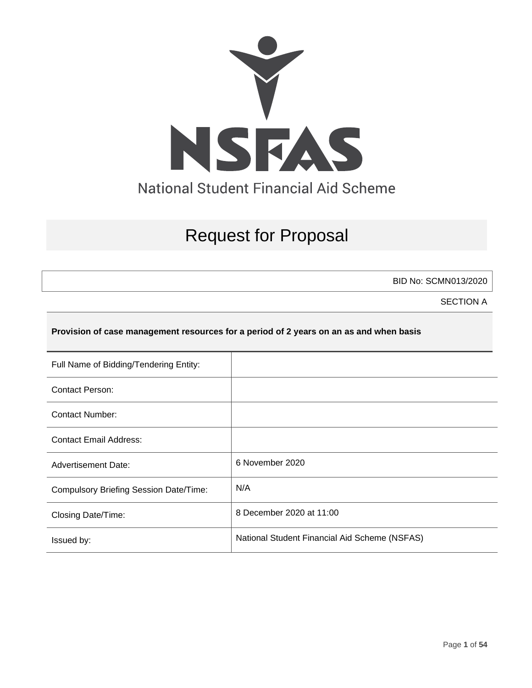

# Request for Proposal

BID No: SCMN013/2020

SECTION A

#### **Provision of case management resources for a period of 2 years on an as and when basis**

| Full Name of Bidding/Tendering Entity:        |                                               |
|-----------------------------------------------|-----------------------------------------------|
| Contact Person:                               |                                               |
| <b>Contact Number:</b>                        |                                               |
| <b>Contact Email Address:</b>                 |                                               |
| <b>Advertisement Date:</b>                    | 6 November 2020                               |
| <b>Compulsory Briefing Session Date/Time:</b> | N/A                                           |
| Closing Date/Time:                            | 8 December 2020 at 11:00                      |
| Issued by:                                    | National Student Financial Aid Scheme (NSFAS) |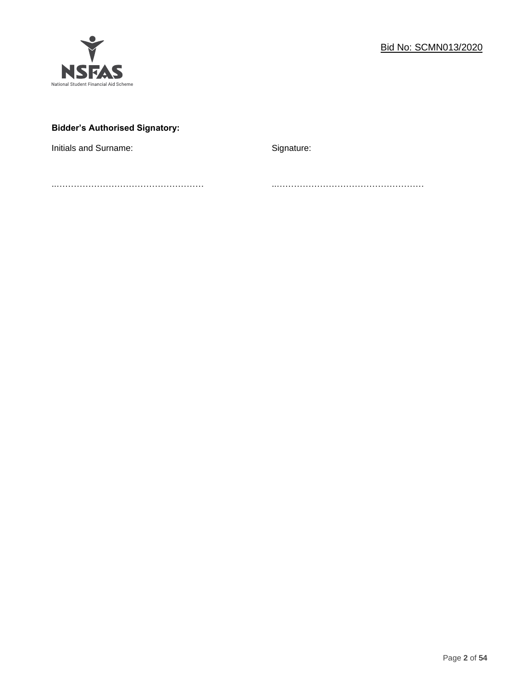

# **Bidder's Authorised Signatory:**

Initials and Surname: Signature: Signature:

..…………………………………………… ..……………………………………………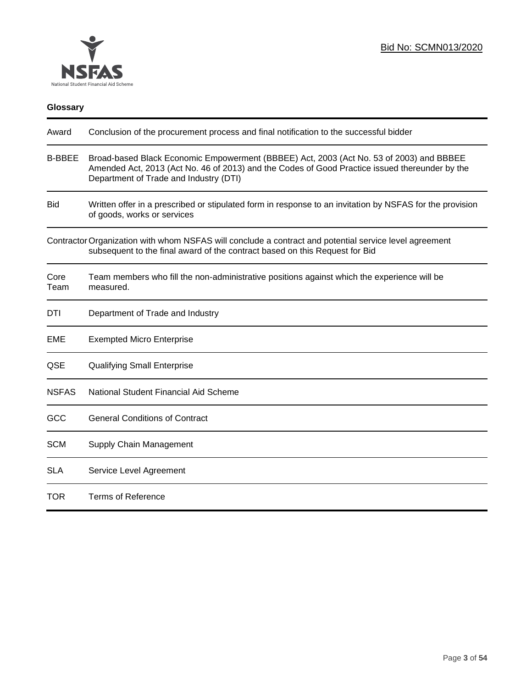

| Glossary      |                                                                                                                                                                                                                                     |
|---------------|-------------------------------------------------------------------------------------------------------------------------------------------------------------------------------------------------------------------------------------|
| Award         | Conclusion of the procurement process and final notification to the successful bidder                                                                                                                                               |
| <b>B-BBEE</b> | Broad-based Black Economic Empowerment (BBBEE) Act, 2003 (Act No. 53 of 2003) and BBBEE<br>Amended Act, 2013 (Act No. 46 of 2013) and the Codes of Good Practice issued thereunder by the<br>Department of Trade and Industry (DTI) |
| <b>Bid</b>    | Written offer in a prescribed or stipulated form in response to an invitation by NSFAS for the provision<br>of goods, works or services                                                                                             |
|               | Contractor Organization with whom NSFAS will conclude a contract and potential service level agreement<br>subsequent to the final award of the contract based on this Request for Bid                                               |
| Core<br>Team  | Team members who fill the non-administrative positions against which the experience will be<br>measured.                                                                                                                            |
| DTI           | Department of Trade and Industry                                                                                                                                                                                                    |
| EME           | <b>Exempted Micro Enterprise</b>                                                                                                                                                                                                    |
| QSE           | <b>Qualifying Small Enterprise</b>                                                                                                                                                                                                  |
| <b>NSFAS</b>  | National Student Financial Aid Scheme                                                                                                                                                                                               |
| GCC           | <b>General Conditions of Contract</b>                                                                                                                                                                                               |
| <b>SCM</b>    | Supply Chain Management                                                                                                                                                                                                             |
| <b>SLA</b>    | Service Level Agreement                                                                                                                                                                                                             |
| <b>TOR</b>    | <b>Terms of Reference</b>                                                                                                                                                                                                           |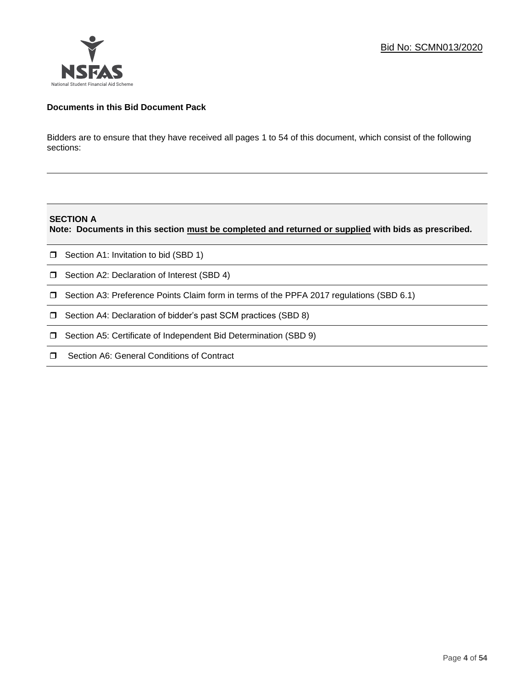

# **Documents in this Bid Document Pack**

Bidders are to ensure that they have received all pages 1 to 54 of this document, which consist of the following sections:

## **SECTION A**

**Note: Documents in this section must be completed and returned or supplied with bids as prescribed.**

- $\Box$  Section A1: Invitation to bid (SBD 1)
- **D** Section A2: Declaration of Interest (SBD 4)
- Section A3: Preference Points Claim form in terms of the PPFA 2017 regulations (SBD 6.1)
- □ Section A4: Declaration of bidder's past SCM practices (SBD 8)
- □ Section A5: Certificate of Independent Bid Determination (SBD 9)
- $\Box$  Section A6: General Conditions of Contract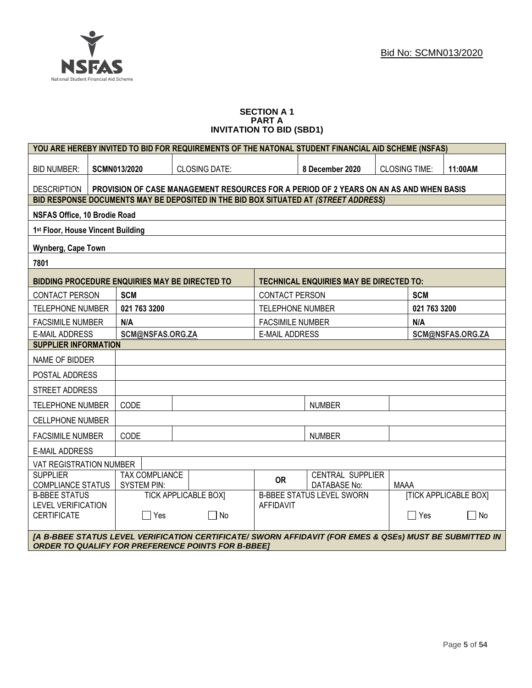

#### **SECTION A 1 PART A INVITATION TO BID (SBD1)**

| YOU ARE HEREBY INVITED TO BID FOR REQUIREMENTS OF THE NATONAL STUDENT FINANCIAL AID SCHEME (NSFAS)                                                                   |                                                               |                                                                                        |                                                                  |                                                |                      |              |         |
|----------------------------------------------------------------------------------------------------------------------------------------------------------------------|---------------------------------------------------------------|----------------------------------------------------------------------------------------|------------------------------------------------------------------|------------------------------------------------|----------------------|--------------|---------|
| <b>BID NUMBER:</b>                                                                                                                                                   | <b>SCMN013/2020</b>                                           | <b>CLOSING DATE:</b>                                                                   |                                                                  | 8 December 2020                                | <b>CLOSING TIME:</b> |              | 11:00AM |
| <b>DESCRIPTION</b>                                                                                                                                                   |                                                               | PROVISION OF CASE MANAGEMENT RESOURCES FOR A PERIOD OF 2 YEARS ON AN AS AND WHEN BASIS |                                                                  |                                                |                      |              |         |
|                                                                                                                                                                      |                                                               | BID RESPONSE DOCUMENTS MAY BE DEPOSITED IN THE BID BOX SITUATED AT (STREET ADDRESS)    |                                                                  |                                                |                      |              |         |
| NSFAS Office, 10 Brodie Road                                                                                                                                         |                                                               |                                                                                        |                                                                  |                                                |                      |              |         |
| 1 <sup>st</sup> Floor, House Vincent Building                                                                                                                        |                                                               |                                                                                        |                                                                  |                                                |                      |              |         |
| Wynberg, Cape Town                                                                                                                                                   |                                                               |                                                                                        |                                                                  |                                                |                      |              |         |
| 7801                                                                                                                                                                 |                                                               |                                                                                        |                                                                  |                                                |                      |              |         |
| <b>BIDDING PROCEDURE ENQUIRIES MAY BE DIRECTED TO</b>                                                                                                                |                                                               |                                                                                        |                                                                  | <b>TECHNICAL ENQUIRIES MAY BE DIRECTED TO:</b> |                      |              |         |
| <b>CONTACT PERSON</b>                                                                                                                                                | <b>SCM</b>                                                    |                                                                                        | <b>CONTACT PERSON</b>                                            |                                                |                      | <b>SCM</b>   |         |
| <b>TELEPHONE NUMBER</b>                                                                                                                                              | 021 763 3200                                                  |                                                                                        | <b>TELEPHONE NUMBER</b>                                          |                                                |                      | 021 763 3200 |         |
| <b>FACSIMILE NUMBER</b>                                                                                                                                              | N/A                                                           |                                                                                        | <b>FACSIMILE NUMBER</b>                                          |                                                |                      | N/A          |         |
| <b>E-MAIL ADDRESS</b>                                                                                                                                                | SCM@NSFAS.ORG.ZA<br><b>E-MAIL ADDRESS</b><br>SCM@NSFAS.ORG.ZA |                                                                                        |                                                                  |                                                |                      |              |         |
| <b>SUPPLIER INFORMATION</b>                                                                                                                                          |                                                               |                                                                                        |                                                                  |                                                |                      |              |         |
| NAME OF BIDDER                                                                                                                                                       |                                                               |                                                                                        |                                                                  |                                                |                      |              |         |
| POSTAL ADDRESS                                                                                                                                                       |                                                               |                                                                                        |                                                                  |                                                |                      |              |         |
| <b>STREET ADDRESS</b>                                                                                                                                                |                                                               |                                                                                        |                                                                  |                                                |                      |              |         |
| <b>TELEPHONE NUMBER</b>                                                                                                                                              | CODE                                                          |                                                                                        |                                                                  | <b>NUMBER</b>                                  |                      |              |         |
| <b>CELLPHONE NUMBER</b>                                                                                                                                              |                                                               |                                                                                        |                                                                  |                                                |                      |              |         |
| <b>FACSIMILE NUMBER</b>                                                                                                                                              | CODE                                                          |                                                                                        |                                                                  | <b>NUMBER</b>                                  |                      |              |         |
| <b>E-MAIL ADDRESS</b>                                                                                                                                                |                                                               |                                                                                        |                                                                  |                                                |                      |              |         |
| VAT REGISTRATION NUMBER                                                                                                                                              |                                                               |                                                                                        |                                                                  |                                                |                      |              |         |
| <b>SUPPLIER</b>                                                                                                                                                      | <b>TAX COMPLIANCE</b>                                         |                                                                                        | <b>OR</b>                                                        | CENTRAL SUPPLIER                               |                      |              |         |
| <b>COMPLIANCE STATUS</b>                                                                                                                                             | <b>SYSTEM PIN:</b>                                            |                                                                                        |                                                                  | <b>DATABASE No:</b>                            | <b>MAAA</b>          |              |         |
| <b>B-BBEE STATUS</b>                                                                                                                                                 |                                                               | <b>TICK APPLICABLE BOXI</b>                                                            | <b>[TICK APPLICABLE BOX]</b><br><b>B-BBEE STATUS LEVEL SWORN</b> |                                                |                      |              |         |
| <b>LEVEL VERIFICATION</b><br><b>CERTIFICATE</b>                                                                                                                      | $\Box$ Yes                                                    | $\Box$ No                                                                              | <b>AFFIDAVIT</b><br>$\Box$ Yes<br>$\mathcal{L}_{\mathcal{A}}$    |                                                | No                   |              |         |
|                                                                                                                                                                      |                                                               |                                                                                        |                                                                  |                                                |                      |              |         |
| [A B-BBEE STATUS LEVEL VERIFICATION CERTIFICATE/ SWORN AFFIDAVIT (FOR EMES & QSEs) MUST BE SUBMITTED IN<br><b>ORDER TO QUALIFY FOR PREFERENCE POINTS FOR B-BBEET</b> |                                                               |                                                                                        |                                                                  |                                                |                      |              |         |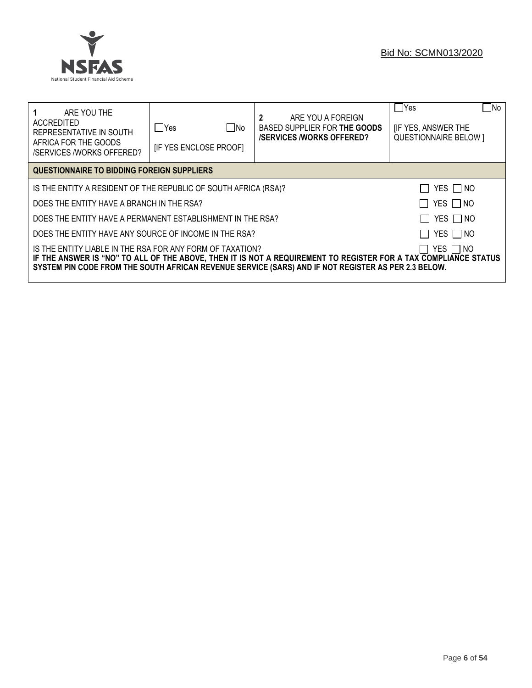

| ARE YOU THE<br>ACCREDITED<br>REPRESENTATIVE IN SOUTH<br>AFRICA FOR THE GOODS<br><b>/SERVICES /WORKS OFFERED?</b>                                                                                                                                                                                     | $\Box$ No<br>lYes<br><b>IF YES ENCLOSE PROOFI</b>                           | ARE YOU A FOREIGN<br>$\mathbf{2}$<br>BASED SUPPLIER FOR THE GOODS<br><b>/SERVICES/WORKS OFFERED?</b> | No<br>$\Box$ Yes<br><b>IF YES, ANSWER THE</b><br><b>QUESTIONNAIRE BELOW 1</b> |  |  |  |
|------------------------------------------------------------------------------------------------------------------------------------------------------------------------------------------------------------------------------------------------------------------------------------------------------|-----------------------------------------------------------------------------|------------------------------------------------------------------------------------------------------|-------------------------------------------------------------------------------|--|--|--|
| QUESTIONNAIRE TO BIDDING FOREIGN SUPPLIERS                                                                                                                                                                                                                                                           |                                                                             |                                                                                                      |                                                                               |  |  |  |
| YES I NO<br>IS THE ENTITY A RESIDENT OF THE REPUBLIC OF SOUTH AFRICA (RSA)?                                                                                                                                                                                                                          |                                                                             |                                                                                                      |                                                                               |  |  |  |
|                                                                                                                                                                                                                                                                                                      | YES $\Box$ NO<br>DOES THE ENTITY HAVE A BRANCH IN THE RSA?                  |                                                                                                      |                                                                               |  |  |  |
|                                                                                                                                                                                                                                                                                                      | YES $\Box$ NO<br>DOES THE ENTITY HAVE A PERMANENT ESTABLISHMENT IN THE RSA? |                                                                                                      |                                                                               |  |  |  |
| YES   NO<br>DOES THE ENTITY HAVE ANY SOURCE OF INCOME IN THE RSA?                                                                                                                                                                                                                                    |                                                                             |                                                                                                      |                                                                               |  |  |  |
| IS THE ENTITY LIABLE IN THE RSA FOR ANY FORM OF TAXATION?<br>YES $\Box$ NO<br>IF THE ANSWER IS "NO" TO ALL OF THE ABOVE, THEN IT IS NOT A REQUIREMENT TO REGISTER FOR A TAX COMPLIANCE STATUS<br>SYSTEM PIN CODE FROM THE SOUTH AFRICAN REVENUE SERVICE (SARS) AND IF NOT REGISTER AS PER 2.3 BELOW. |                                                                             |                                                                                                      |                                                                               |  |  |  |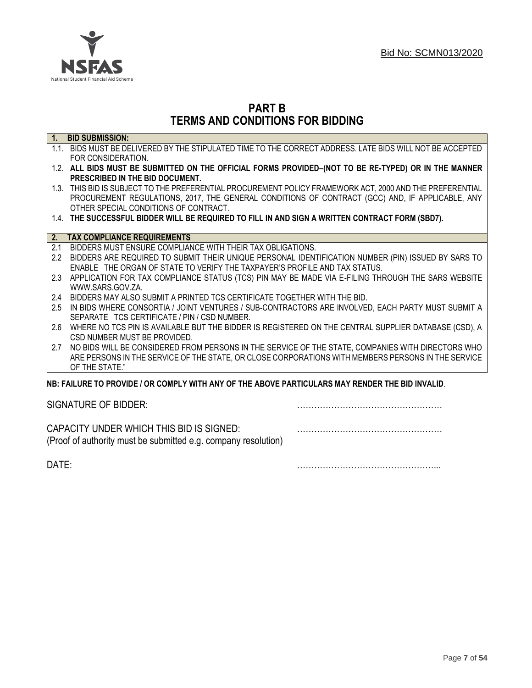

# **PART B TERMS AND CONDITIONS FOR BIDDING**

| $\overline{1}$ . | <b>BID SUBMISSION:</b>                                                                                    |
|------------------|-----------------------------------------------------------------------------------------------------------|
|                  | 1.1. BIDS MUST BE DELIVERED BY THE STIPULATED TIME TO THE CORRECT ADDRESS. LATE BIDS WILL NOT BE ACCEPTED |
|                  | FOR CONSIDERATION.                                                                                        |
|                  | 1.2. ALL BIDS MUST BE SUBMITTED ON THE OFFICIAL FORMS PROVIDED-(NOT TO BE RE-TYPED) OR IN THE MANNER      |
|                  | PRESCRIBED IN THE BID DOCUMENT.                                                                           |
|                  | 1.3. THIS BID IS SUBJECT TO THE PREFERENTIAL PROCUREMENT POLICY FRAMEWORK ACT, 2000 AND THE PREFERENTIAL  |
|                  | PROCUREMENT REGULATIONS, 2017, THE GENERAL CONDITIONS OF CONTRACT (GCC) AND, IF APPLICABLE, ANY           |
|                  | OTHER SPECIAL CONDITIONS OF CONTRACT.                                                                     |
|                  | 1.4. THE SUCCESSFUL BIDDER WILL BE REQUIRED TO FILL IN AND SIGN A WRITTEN CONTRACT FORM (SBD7).           |
|                  |                                                                                                           |
| 2.               | <b>TAX COMPLIANCE REQUIREMENTS</b>                                                                        |
| 2.1              | BIDDERS MUST ENSURE COMPLIANCE WITH THEIR TAX OBLIGATIONS.                                                |
| $2.2^{\circ}$    | BIDDERS ARE REQUIRED TO SUBMIT THEIR UNIQUE PERSONAL IDENTIFICATION NUMBER (PIN) ISSUED BY SARS TO        |
|                  | ENABLE THE ORGAN OF STATE TO VERIFY THE TAXPAYER'S PROFILE AND TAX STATUS.                                |
| 2.3              | APPLICATION FOR TAX COMPLIANCE STATUS (TCS) PIN MAY BE MADE VIA E-FILING THROUGH THE SARS WEBSITE         |
|                  | WWW.SARS.GOV.ZA.                                                                                          |
| 2.4              | BIDDERS MAY ALSO SUBMIT A PRINTED TCS CERTIFICATE TOGETHER WITH THE BID.                                  |
| 2.5              | IN BIDS WHERE CONSORTIA / JOINT VENTURES / SUB-CONTRACTORS ARE INVOLVED, EACH PARTY MUST SUBMIT A         |
|                  | SEPARATE TCS CERTIFICATE / PIN / CSD NUMBER.                                                              |
| 2.6              | WHERE NO TCS PIN IS AVAILABLE BUT THE BIDDER IS REGISTERED ON THE CENTRAL SUPPLIER DATABASE (CSD), A      |
|                  | CSD NUMBER MUST BE PROVIDED.                                                                              |
| 2.7              | NO BIDS WILL BE CONSIDERED FROM PERSONS IN THE SERVICE OF THE STATE, COMPANIES WITH DIRECTORS WHO         |
|                  | ARE PERSONS IN THE SERVICE OF THE STATE, OR CLOSE CORPORATIONS WITH MEMBERS PERSONS IN THE SERVICE        |
|                  | OF THE STATE."                                                                                            |
|                  | NB: FAILURE TO PROVIDE / OR COMPLY WITH ANY OF THE ABOVE PARTICULARS MAY RENDER THE BID INVALID.          |
|                  |                                                                                                           |

SIGNATURE OF BIDDER: ……………………………………………

CAPACITY UNDER WHICH THIS BID IS SIGNED: …………………………………………… (Proof of authority must be submitted e.g. company resolution)

DATE: …………………………………………...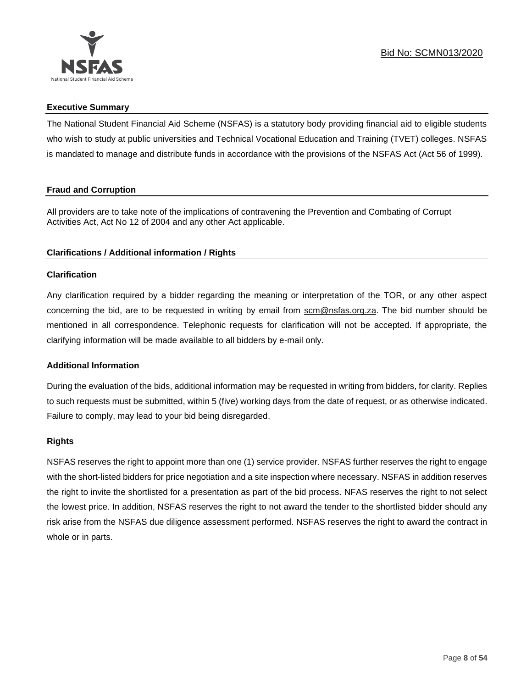

# **Executive Summary**

The National Student Financial Aid Scheme (NSFAS) is a statutory body providing financial aid to eligible students who wish to study at public universities and Technical Vocational Education and Training (TVET) colleges. NSFAS is mandated to manage and distribute funds in accordance with the provisions of the NSFAS Act (Act 56 of 1999).

# **Fraud and Corruption**

All providers are to take note of the implications of contravening the Prevention and Combating of Corrupt Activities Act, Act No 12 of 2004 and any other Act applicable.

# **Clarifications / Additional information / Rights**

# **Clarification**

Any clarification required by a bidder regarding the meaning or interpretation of the TOR, or any other aspect concerning the bid, are to be requested in writing by email from scm@nsfas.org.za. The bid number should be mentioned in all correspondence. Telephonic requests for clarification will not be accepted. If appropriate, the clarifying information will be made available to all bidders by e-mail only.

# **Additional Information**

During the evaluation of the bids, additional information may be requested in writing from bidders, for clarity. Replies to such requests must be submitted, within 5 (five) working days from the date of request, or as otherwise indicated. Failure to comply, may lead to your bid being disregarded.

# **Rights**

NSFAS reserves the right to appoint more than one (1) service provider. NSFAS further reserves the right to engage with the short-listed bidders for price negotiation and a site inspection where necessary. NSFAS in addition reserves the right to invite the shortlisted for a presentation as part of the bid process. NFAS reserves the right to not select the lowest price. In addition, NSFAS reserves the right to not award the tender to the shortlisted bidder should any risk arise from the NSFAS due diligence assessment performed. NSFAS reserves the right to award the contract in whole or in parts.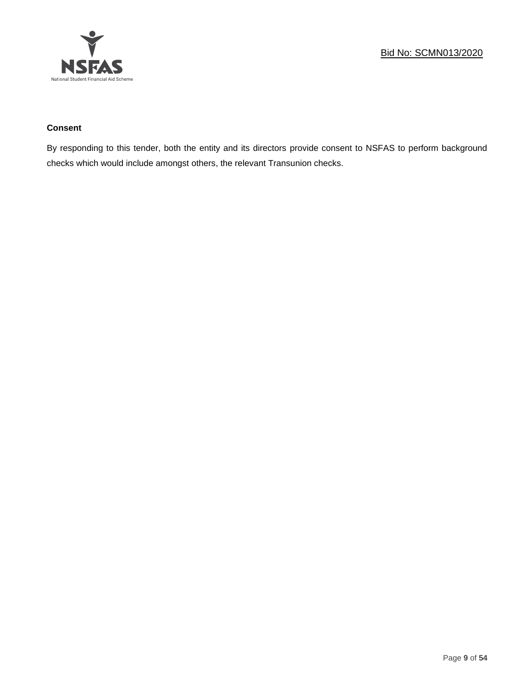

# **Consent**

By responding to this tender, both the entity and its directors provide consent to NSFAS to perform background checks which would include amongst others, the relevant Transunion checks.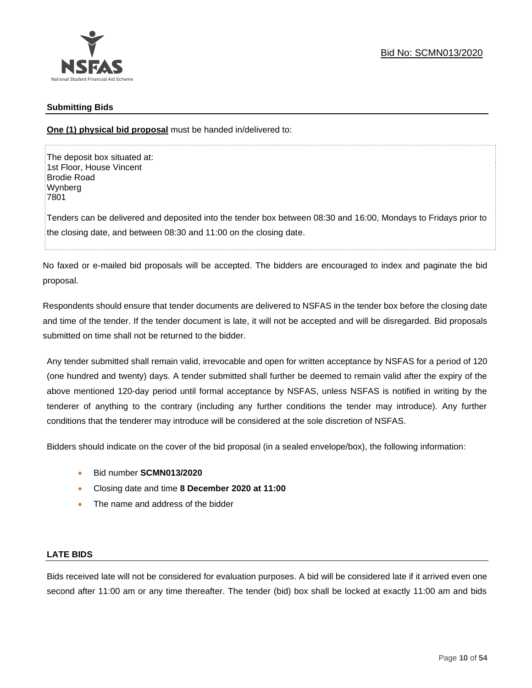

# **Submitting Bids**

**One (1) physical bid proposal** must be handed in/delivered to:

The deposit box situated at: 1st Floor, House Vincent Brodie Road Wynberg 7801

Tenders can be delivered and deposited into the tender box between 08:30 and 16:00, Mondays to Fridays prior to the closing date, and between 08:30 and 11:00 on the closing date.

No faxed or e-mailed bid proposals will be accepted. The bidders are encouraged to index and paginate the bid proposal.

Respondents should ensure that tender documents are delivered to NSFAS in the tender box before the closing date and time of the tender. If the tender document is late, it will not be accepted and will be disregarded. Bid proposals submitted on time shall not be returned to the bidder.

Any tender submitted shall remain valid, irrevocable and open for written acceptance by NSFAS for a period of 120 (one hundred and twenty) days. A tender submitted shall further be deemed to remain valid after the expiry of the above mentioned 120-day period until formal acceptance by NSFAS, unless NSFAS is notified in writing by the tenderer of anything to the contrary (including any further conditions the tender may introduce). Any further conditions that the tenderer may introduce will be considered at the sole discretion of NSFAS.

Bidders should indicate on the cover of the bid proposal (in a sealed envelope/box), the following information:

- Bid number **SCMN013/2020**
- Closing date and time **8 December 2020 at 11:00**
- The name and address of the bidder

# **LATE BIDS**

Bids received late will not be considered for evaluation purposes. A bid will be considered late if it arrived even one second after 11:00 am or any time thereafter. The tender (bid) box shall be locked at exactly 11:00 am and bids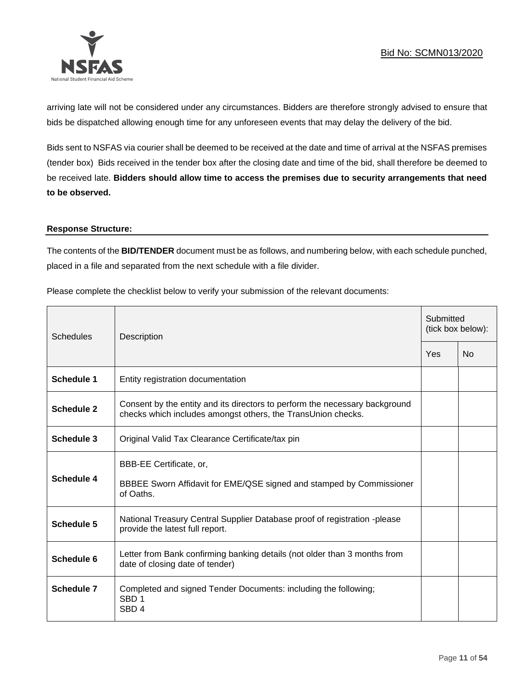

arriving late will not be considered under any circumstances. Bidders are therefore strongly advised to ensure that bids be dispatched allowing enough time for any unforeseen events that may delay the delivery of the bid.

Bids sent to NSFAS via courier shall be deemed to be received at the date and time of arrival at the NSFAS premises (tender box) Bids received in the tender box after the closing date and time of the bid, shall therefore be deemed to be received late. **Bidders should allow time to access the premises due to security arrangements that need to be observed.**

## **Response Structure:**

The contents of the **BID/TENDER** document must be as follows, and numbering below, with each schedule punched, placed in a file and separated from the next schedule with a file divider.

Please complete the checklist below to verify your submission of the relevant documents:

| <b>Schedules</b>  | Description                                                                                                                                 |     | Submitted<br>(tick box below): |  |
|-------------------|---------------------------------------------------------------------------------------------------------------------------------------------|-----|--------------------------------|--|
|                   |                                                                                                                                             | Yes | <b>No</b>                      |  |
| <b>Schedule 1</b> | Entity registration documentation                                                                                                           |     |                                |  |
| Schedule 2        | Consent by the entity and its directors to perform the necessary background<br>checks which includes amongst others, the TransUnion checks. |     |                                |  |
| Schedule 3        | Original Valid Tax Clearance Certificate/tax pin                                                                                            |     |                                |  |
| Schedule 4        | BBB-EE Certificate, or,<br>BBBEE Sworn Affidavit for EME/QSE signed and stamped by Commissioner<br>of Oaths.                                |     |                                |  |
| Schedule 5        | National Treasury Central Supplier Database proof of registration -please<br>provide the latest full report.                                |     |                                |  |
| Schedule 6        | Letter from Bank confirming banking details (not older than 3 months from<br>date of closing date of tender)                                |     |                                |  |
| Schedule 7        | Completed and signed Tender Documents: including the following;<br>SBD <sub>1</sub><br>SBD <sub>4</sub>                                     |     |                                |  |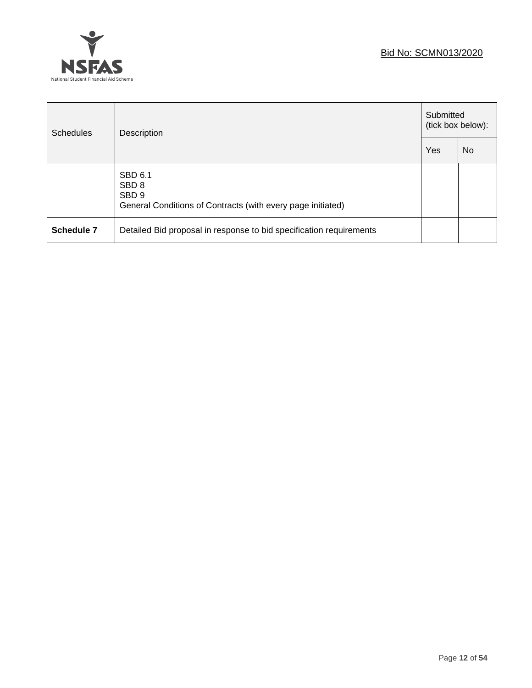

| <b>Schedules</b> | Description                                                                                                    |  | Submitted<br>(tick box below): |  |
|------------------|----------------------------------------------------------------------------------------------------------------|--|--------------------------------|--|
|                  |                                                                                                                |  | N <sub>0</sub>                 |  |
|                  | SBD 6.1<br>SBD <sub>8</sub><br>SBD <sub>9</sub><br>General Conditions of Contracts (with every page initiated) |  |                                |  |
| Schedule 7       | Detailed Bid proposal in response to bid specification requirements                                            |  |                                |  |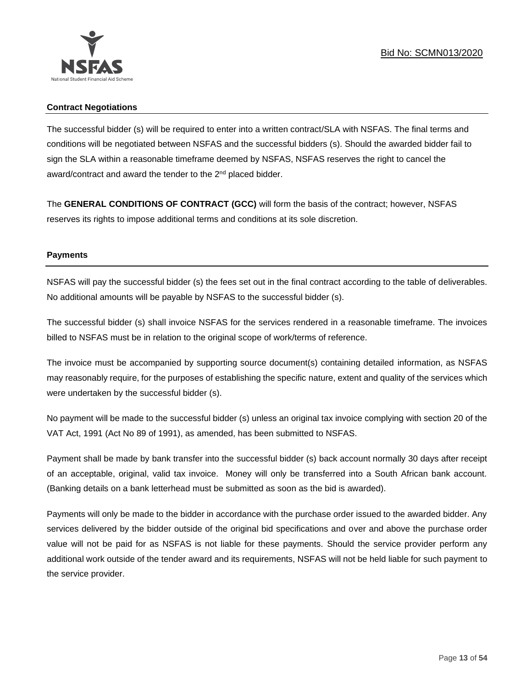

# **Contract Negotiations**

The successful bidder (s) will be required to enter into a written contract/SLA with NSFAS. The final terms and conditions will be negotiated between NSFAS and the successful bidders (s). Should the awarded bidder fail to sign the SLA within a reasonable timeframe deemed by NSFAS, NSFAS reserves the right to cancel the award/contract and award the tender to the 2<sup>nd</sup> placed bidder.

The **GENERAL CONDITIONS OF CONTRACT (GCC)** will form the basis of the contract; however, NSFAS reserves its rights to impose additional terms and conditions at its sole discretion.

# **Payments**

NSFAS will pay the successful bidder (s) the fees set out in the final contract according to the table of deliverables. No additional amounts will be payable by NSFAS to the successful bidder (s).

The successful bidder (s) shall invoice NSFAS for the services rendered in a reasonable timeframe. The invoices billed to NSFAS must be in relation to the original scope of work/terms of reference.

The invoice must be accompanied by supporting source document(s) containing detailed information, as NSFAS may reasonably require, for the purposes of establishing the specific nature, extent and quality of the services which were undertaken by the successful bidder (s).

No payment will be made to the successful bidder (s) unless an original tax invoice complying with section 20 of the VAT Act, 1991 (Act No 89 of 1991), as amended, has been submitted to NSFAS.

Payment shall be made by bank transfer into the successful bidder (s) back account normally 30 days after receipt of an acceptable, original, valid tax invoice. Money will only be transferred into a South African bank account. (Banking details on a bank letterhead must be submitted as soon as the bid is awarded).

Payments will only be made to the bidder in accordance with the purchase order issued to the awarded bidder. Any services delivered by the bidder outside of the original bid specifications and over and above the purchase order value will not be paid for as NSFAS is not liable for these payments. Should the service provider perform any additional work outside of the tender award and its requirements, NSFAS will not be held liable for such payment to the service provider.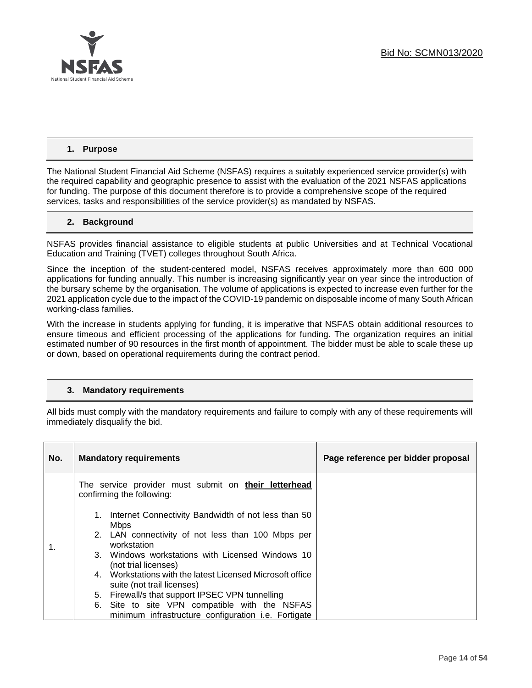

# **1. Purpose**

The National Student Financial Aid Scheme (NSFAS) requires a suitably experienced service provider(s) with the required capability and geographic presence to assist with the evaluation of the 2021 NSFAS applications for funding. The purpose of this document therefore is to provide a comprehensive scope of the required services, tasks and responsibilities of the service provider(s) as mandated by NSFAS.

## **2. Background**

NSFAS provides financial assistance to eligible students at public Universities and at Technical Vocational Education and Training (TVET) colleges throughout South Africa.

Since the inception of the student-centered model, NSFAS receives approximately more than 600 000 applications for funding annually. This number is increasing significantly year on year since the introduction of the bursary scheme by the organisation. The volume of applications is expected to increase even further for the 2021 application cycle due to the impact of the COVID-19 pandemic on disposable income of many South African working-class families.

With the increase in students applying for funding, it is imperative that NSFAS obtain additional resources to ensure timeous and efficient processing of the applications for funding. The organization requires an initial estimated number of 90 resources in the first month of appointment. The bidder must be able to scale these up or down, based on operational requirements during the contract period.

#### **3. Mandatory requirements**

All bids must comply with the mandatory requirements and failure to comply with any of these requirements will immediately disqualify the bid.

| No. | <b>Mandatory requirements</b>                                                           | Page reference per bidder proposal |
|-----|-----------------------------------------------------------------------------------------|------------------------------------|
|     | The service provider must submit on their letterhead<br>confirming the following:       |                                    |
|     | 1. Internet Connectivity Bandwidth of not less than 50<br><b>Mbps</b>                   |                                    |
| 1.  | 2. LAN connectivity of not less than 100 Mbps per<br>workstation                        |                                    |
|     | 3. Windows workstations with Licensed Windows 10<br>(not trial licenses)                |                                    |
|     | 4. Workstations with the latest Licensed Microsoft office<br>suite (not trail licenses) |                                    |
|     | 5. Firewall/s that support IPSEC VPN tunnelling                                         |                                    |
|     | 6. Site to site VPN compatible with the NSFAS                                           |                                    |
|     | minimum infrastructure configuration <i>i.e.</i> Fortigate                              |                                    |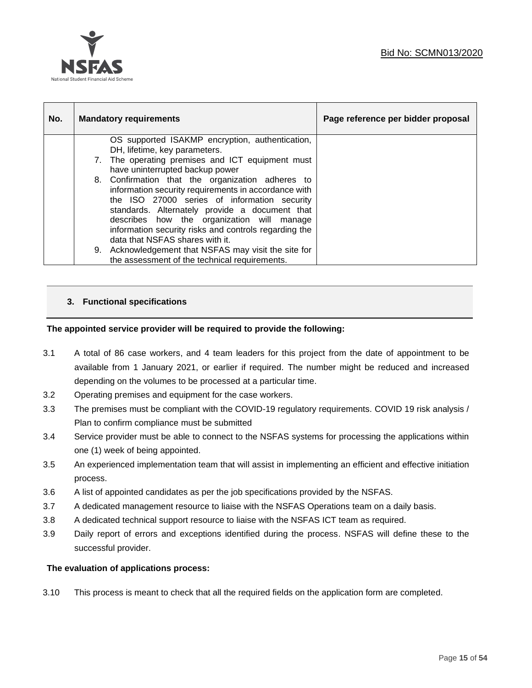

| No. | <b>Mandatory requirements</b>                                                                                                                                                                                                                                                                                                                                                                                                                                                                                                   | Page reference per bidder proposal |
|-----|---------------------------------------------------------------------------------------------------------------------------------------------------------------------------------------------------------------------------------------------------------------------------------------------------------------------------------------------------------------------------------------------------------------------------------------------------------------------------------------------------------------------------------|------------------------------------|
|     | OS supported ISAKMP encryption, authentication,<br>DH, lifetime, key parameters.<br>7. The operating premises and ICT equipment must<br>have uninterrupted backup power<br>8. Confirmation that the organization adheres to<br>information security requirements in accordance with<br>the ISO 27000 series of information security<br>standards. Alternately provide a document that<br>describes how the organization will manage<br>information security risks and controls regarding the<br>data that NSFAS shares with it. |                                    |
|     | 9. Acknowledgement that NSFAS may visit the site for<br>the assessment of the technical requirements.                                                                                                                                                                                                                                                                                                                                                                                                                           |                                    |

# **3. Functional specifications**

# **The appointed service provider will be required to provide the following:**

- 3.1 A total of 86 case workers, and 4 team leaders for this project from the date of appointment to be available from 1 January 2021, or earlier if required. The number might be reduced and increased depending on the volumes to be processed at a particular time.
- 3.2 Operating premises and equipment for the case workers.
- 3.3 The premises must be compliant with the COVID-19 regulatory requirements. COVID 19 risk analysis / Plan to confirm compliance must be submitted
- 3.4 Service provider must be able to connect to the NSFAS systems for processing the applications within one (1) week of being appointed.
- 3.5 An experienced implementation team that will assist in implementing an efficient and effective initiation process.
- 3.6 A list of appointed candidates as per the job specifications provided by the NSFAS.
- 3.7 A dedicated management resource to liaise with the NSFAS Operations team on a daily basis.
- 3.8 A dedicated technical support resource to liaise with the NSFAS ICT team as required.
- 3.9 Daily report of errors and exceptions identified during the process. NSFAS will define these to the successful provider.

#### **The evaluation of applications process:**

3.10 This process is meant to check that all the required fields on the application form are completed.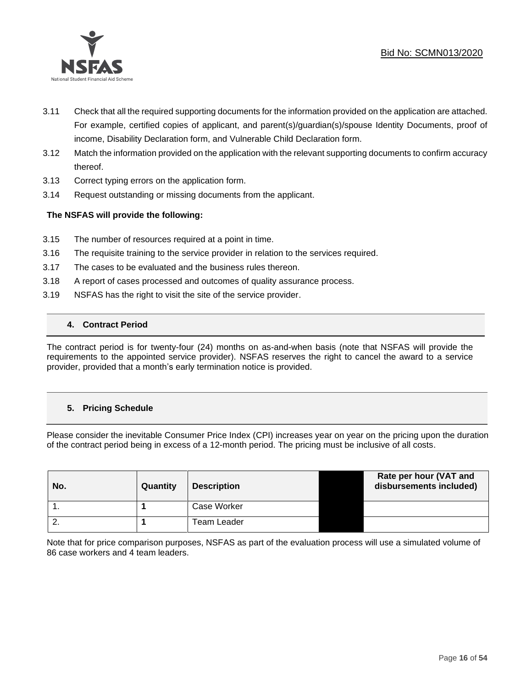



- 3.11 Check that all the required supporting documents for the information provided on the application are attached. For example, certified copies of applicant, and parent(s)/guardian(s)/spouse Identity Documents, proof of income, Disability Declaration form, and Vulnerable Child Declaration form.
- 3.12 Match the information provided on the application with the relevant supporting documents to confirm accuracy thereof.
- 3.13 Correct typing errors on the application form.
- 3.14 Request outstanding or missing documents from the applicant.

# **The NSFAS will provide the following:**

- 3.15 The number of resources required at a point in time.
- 3.16 The requisite training to the service provider in relation to the services required.
- 3.17 The cases to be evaluated and the business rules thereon.
- 3.18 A report of cases processed and outcomes of quality assurance process.
- 3.19 NSFAS has the right to visit the site of the service provider.

# **4. Contract Period**

The contract period is for twenty-four (24) months on as-and-when basis (note that NSFAS will provide the requirements to the appointed service provider). NSFAS reserves the right to cancel the award to a service provider, provided that a month's early termination notice is provided.

# **5. Pricing Schedule**

Please consider the inevitable Consumer Price Index (CPI) increases year on year on the pricing upon the duration of the contract period being in excess of a 12-month period. The pricing must be inclusive of all costs.

| No.      | Quantity | <b>Description</b> | Rate per hour (VAT and<br>disbursements included) |
|----------|----------|--------------------|---------------------------------------------------|
|          |          | Case Worker        |                                                   |
| <u>.</u> |          | <b>Team Leader</b> |                                                   |

Note that for price comparison purposes, NSFAS as part of the evaluation process will use a simulated volume of 86 case workers and 4 team leaders.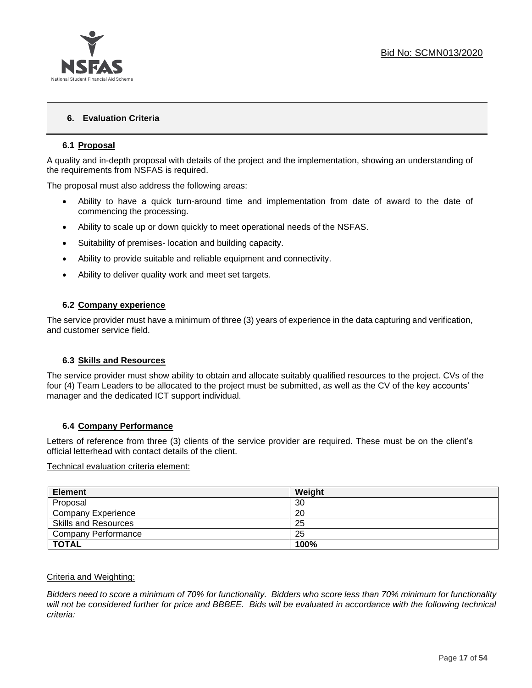

# **6. Evaluation Criteria**

# **6.1 Proposal**

A quality and in-depth proposal with details of the project and the implementation, showing an understanding of the requirements from NSFAS is required.

The proposal must also address the following areas:

- Ability to have a quick turn-around time and implementation from date of award to the date of commencing the processing.
- Ability to scale up or down quickly to meet operational needs of the NSFAS.
- Suitability of premises- location and building capacity.
- Ability to provide suitable and reliable equipment and connectivity.
- Ability to deliver quality work and meet set targets.

## **6.2 Company experience**

The service provider must have a minimum of three (3) years of experience in the data capturing and verification, and customer service field.

#### **6.3 Skills and Resources**

The service provider must show ability to obtain and allocate suitably qualified resources to the project. CVs of the four (4) Team Leaders to be allocated to the project must be submitted, as well as the CV of the key accounts' manager and the dedicated ICT support individual.

#### **6.4 Company Performance**

Letters of reference from three (3) clients of the service provider are required. These must be on the client's official letterhead with contact details of the client.

#### Technical evaluation criteria element:

| <b>Element</b>              | Weight |
|-----------------------------|--------|
| Proposal                    | 30     |
| <b>Company Experience</b>   | 20     |
| <b>Skills and Resources</b> | 25     |
| <b>Company Performance</b>  | 25     |
| <b>TOTAL</b>                | 100%   |

#### Criteria and Weighting:

*Bidders need to score a minimum of 70% for functionality. Bidders who score less than 70% minimum for functionality will not be considered further for price and BBBEE. Bids will be evaluated in accordance with the following technical criteria:*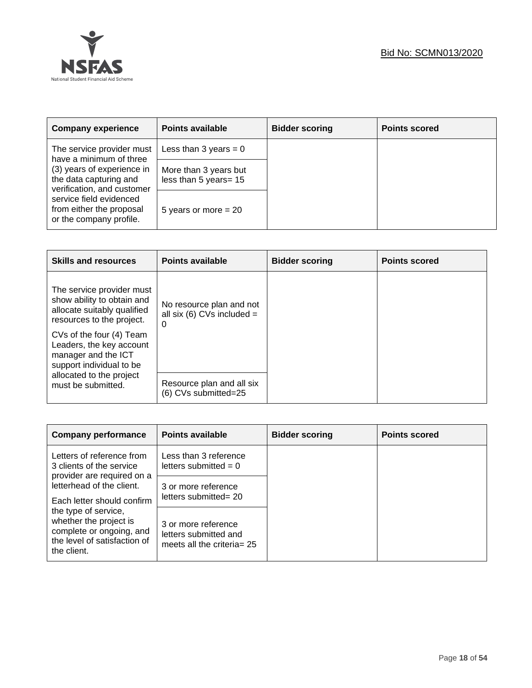

| <b>Company experience</b>                                                          | <b>Points available</b>                        | <b>Bidder scoring</b> | <b>Points scored</b> |
|------------------------------------------------------------------------------------|------------------------------------------------|-----------------------|----------------------|
| The service provider must<br>have a minimum of three                               | Less than 3 years = $0$                        |                       |                      |
| (3) years of experience in<br>the data capturing and<br>verification, and customer | More than 3 years but<br>less than 5 years= 15 |                       |                      |
| service field evidenced<br>from either the proposal<br>or the company profile.     | 5 years or more $= 20$                         |                       |                      |

| <b>Skills and resources</b>                                                                                                                                                                                                    | <b>Points available</b>                                       | <b>Bidder scoring</b> | <b>Points scored</b> |
|--------------------------------------------------------------------------------------------------------------------------------------------------------------------------------------------------------------------------------|---------------------------------------------------------------|-----------------------|----------------------|
| The service provider must<br>show ability to obtain and<br>allocate suitably qualified<br>resources to the project.<br>CVs of the four (4) Team<br>Leaders, the key account<br>manager and the ICT<br>support individual to be | No resource plan and not<br>all six (6) CVs included $=$<br>0 |                       |                      |
| allocated to the project<br>must be submitted.                                                                                                                                                                                 | Resource plan and all six<br>(6) CVs submitted=25             |                       |                      |

| <b>Company performance</b>                                                                                                | <b>Points available</b>                                                       | <b>Bidder scoring</b> | <b>Points scored</b> |
|---------------------------------------------------------------------------------------------------------------------------|-------------------------------------------------------------------------------|-----------------------|----------------------|
| Letters of reference from<br>3 clients of the service                                                                     | Less than 3 reference<br>letters submitted $= 0$                              |                       |                      |
| provider are required on a<br>letterhead of the client.<br>Each letter should confirm                                     | 3 or more reference<br>letters submitted= 20                                  |                       |                      |
| the type of service,<br>whether the project is<br>complete or ongoing, and<br>the level of satisfaction of<br>the client. | 3 or more reference<br>letters submitted and<br>meets all the criteria = $25$ |                       |                      |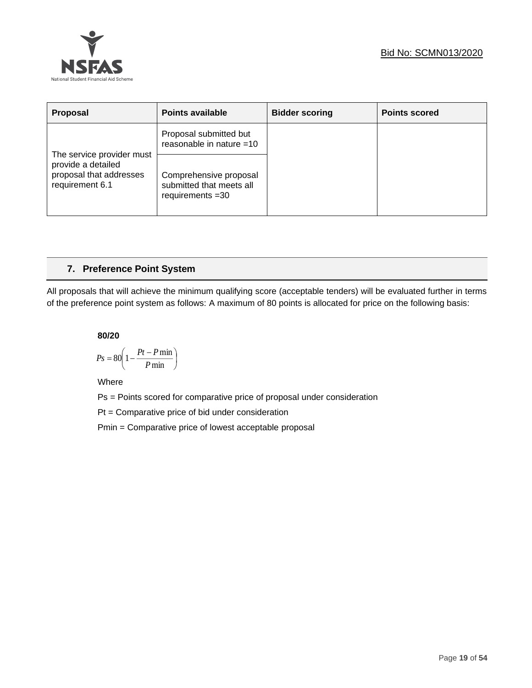

| Proposal                                                                                      | <b>Points available</b>                                                  | <b>Bidder scoring</b> | <b>Points scored</b> |
|-----------------------------------------------------------------------------------------------|--------------------------------------------------------------------------|-----------------------|----------------------|
|                                                                                               | Proposal submitted but<br>reasonable in nature =10                       |                       |                      |
| The service provider must<br>provide a detailed<br>proposal that addresses<br>requirement 6.1 | Comprehensive proposal<br>submitted that meets all<br>requirements $=30$ |                       |                      |

# **7. Preference Point System**

All proposals that will achieve the minimum qualifying score (acceptable tenders) will be evaluated further in terms of the preference point system as follows: A maximum of 80 points is allocated for price on the following basis:

**80/20**

$$
Ps = 80 \left( 1 - \frac{Pt - P \min}{P \min} \right)
$$

Where

Ps = Points scored for comparative price of proposal under consideration

Pt = Comparative price of bid under consideration

Pmin = Comparative price of lowest acceptable proposal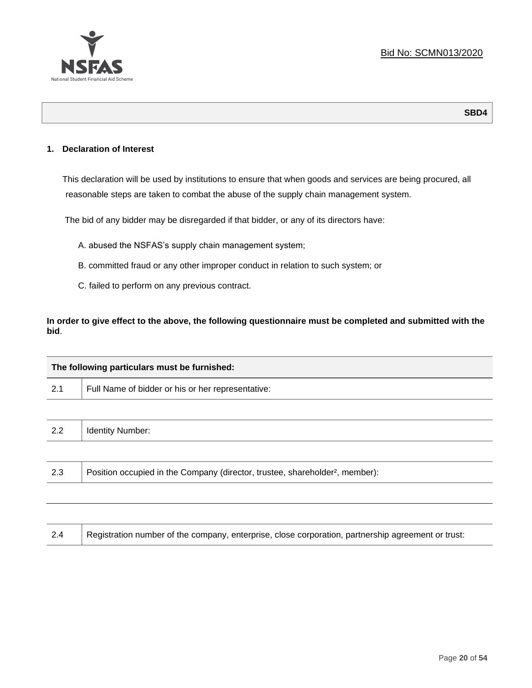

# **1. Declaration of Interest**

This declaration will be used by institutions to ensure that when goods and services are being procured, all reasonable steps are taken to combat the abuse of the supply chain management system.

The bid of any bidder may be disregarded if that bidder, or any of its directors have:

- A. abused the NSFAS's supply chain management system;
- B. committed fraud or any other improper conduct in relation to such system; or
- C. failed to perform on any previous contract.

**In order to give effect to the above, the following questionnaire must be completed and submitted with the bid**.

| The following particulars must be furnished: |                                                                                          |  |  |
|----------------------------------------------|------------------------------------------------------------------------------------------|--|--|
| 2.1                                          | Full Name of bidder or his or her representative:                                        |  |  |
|                                              |                                                                                          |  |  |
| 2.2                                          | <b>Identity Number:</b>                                                                  |  |  |
|                                              |                                                                                          |  |  |
| 2.3                                          | Position occupied in the Company (director, trustee, shareholder <sup>2</sup> , member): |  |  |
|                                              |                                                                                          |  |  |

| Registration number of the company, enterprise, close corporation, partnership agreement or trust:<br>2.4 |
|-----------------------------------------------------------------------------------------------------------|
|-----------------------------------------------------------------------------------------------------------|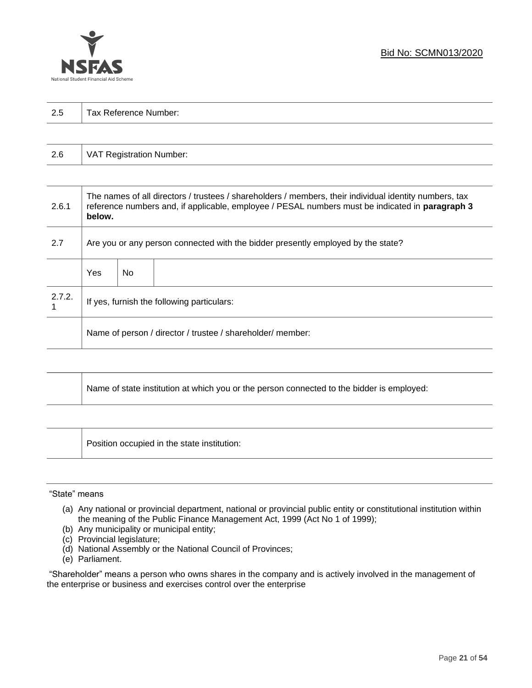

| 2.5 | Τ.<br>Tax Reference Number: |
|-----|-----------------------------|
|     |                             |

| 2.6 | VAT Registration Number: |
|-----|--------------------------|
|-----|--------------------------|

| 2.6.1  | The names of all directors / trustees / shareholders / members, their individual identity numbers, tax<br>reference numbers and, if applicable, employee / PESAL numbers must be indicated in paragraph 3<br>below. |     |  |  |
|--------|---------------------------------------------------------------------------------------------------------------------------------------------------------------------------------------------------------------------|-----|--|--|
| 2.7    | Are you or any person connected with the bidder presently employed by the state?                                                                                                                                    |     |  |  |
|        | Yes                                                                                                                                                                                                                 | No. |  |  |
| 2.7.2. | If yes, furnish the following particulars:                                                                                                                                                                          |     |  |  |
|        | Name of person / director / trustee / shareholder/ member:                                                                                                                                                          |     |  |  |

| Name of state institution at which you or the person connected to the bidder is employed: |
|-------------------------------------------------------------------------------------------|
|                                                                                           |

Position occupied in the state institution:

#### "State" means

┱

- (a) Any national or provincial department, national or provincial public entity or constitutional institution within the meaning of the Public Finance Management Act, 1999 (Act No 1 of 1999);
- (b) Any municipality or municipal entity;
- (c) Provincial legislature;
- (d) National Assembly or the National Council of Provinces;
- (e) Parliament.

"Shareholder" means a person who owns shares in the company and is actively involved in the management of the enterprise or business and exercises control over the enterprise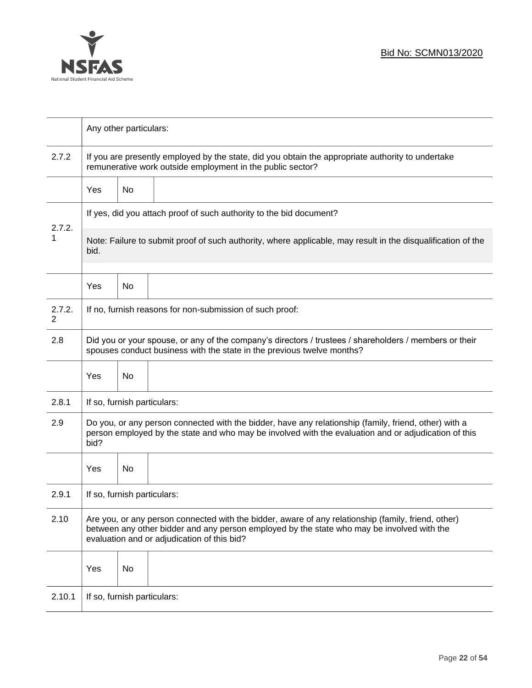

|                          | Any other particulars:                                                                                                                                                                                                                           |    |                                                                                                              |  |  |
|--------------------------|--------------------------------------------------------------------------------------------------------------------------------------------------------------------------------------------------------------------------------------------------|----|--------------------------------------------------------------------------------------------------------------|--|--|
| 2.7.2                    | If you are presently employed by the state, did you obtain the appropriate authority to undertake<br>remunerative work outside employment in the public sector?                                                                                  |    |                                                                                                              |  |  |
|                          | Yes                                                                                                                                                                                                                                              | No |                                                                                                              |  |  |
|                          | If yes, did you attach proof of such authority to the bid document?                                                                                                                                                                              |    |                                                                                                              |  |  |
| 2.7.2.<br>1<br>bid.      |                                                                                                                                                                                                                                                  |    | Note: Failure to submit proof of such authority, where applicable, may result in the disqualification of the |  |  |
|                          | Yes                                                                                                                                                                                                                                              | No |                                                                                                              |  |  |
| 2.7.2.<br>$\overline{2}$ | If no, furnish reasons for non-submission of such proof:                                                                                                                                                                                         |    |                                                                                                              |  |  |
| 2.8                      | Did you or your spouse, or any of the company's directors / trustees / shareholders / members or their<br>spouses conduct business with the state in the previous twelve months?                                                                 |    |                                                                                                              |  |  |
|                          | Yes                                                                                                                                                                                                                                              | No |                                                                                                              |  |  |
| 2.8.1                    | If so, furnish particulars:                                                                                                                                                                                                                      |    |                                                                                                              |  |  |
| 2.9                      | Do you, or any person connected with the bidder, have any relationship (family, friend, other) with a<br>person employed by the state and who may be involved with the evaluation and or adjudication of this<br>bid?                            |    |                                                                                                              |  |  |
|                          | Yes                                                                                                                                                                                                                                              | No |                                                                                                              |  |  |
| 2.9.1                    | If so, furnish particulars:                                                                                                                                                                                                                      |    |                                                                                                              |  |  |
| 2.10                     | Are you, or any person connected with the bidder, aware of any relationship (family, friend, other)<br>between any other bidder and any person employed by the state who may be involved with the<br>evaluation and or adjudication of this bid? |    |                                                                                                              |  |  |
|                          | Yes                                                                                                                                                                                                                                              | No |                                                                                                              |  |  |
| 2.10.1                   | If so, furnish particulars:                                                                                                                                                                                                                      |    |                                                                                                              |  |  |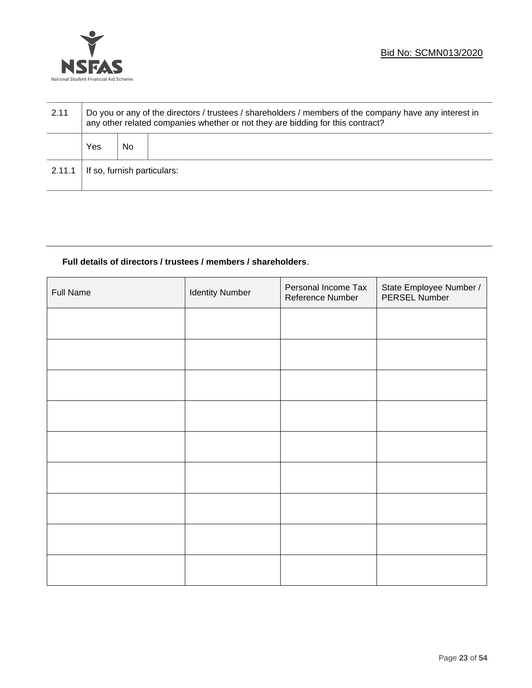

| 2.11   | Do you or any of the directors / trustees / shareholders / members of the company have any interest in<br>any other related companies whether or not they are bidding for this contract? |    |  |  |
|--------|------------------------------------------------------------------------------------------------------------------------------------------------------------------------------------------|----|--|--|
|        | Yes                                                                                                                                                                                      | No |  |  |
| 2.11.1 | If so, furnish particulars:                                                                                                                                                              |    |  |  |

# **Full details of directors / trustees / members / shareholders**.

| <b>Full Name</b> | <b>Identity Number</b> | Personal Income Tax<br>Reference Number | State Employee Number /<br>PERSEL Number |
|------------------|------------------------|-----------------------------------------|------------------------------------------|
|                  |                        |                                         |                                          |
|                  |                        |                                         |                                          |
|                  |                        |                                         |                                          |
|                  |                        |                                         |                                          |
|                  |                        |                                         |                                          |
|                  |                        |                                         |                                          |
|                  |                        |                                         |                                          |
|                  |                        |                                         |                                          |
|                  |                        |                                         |                                          |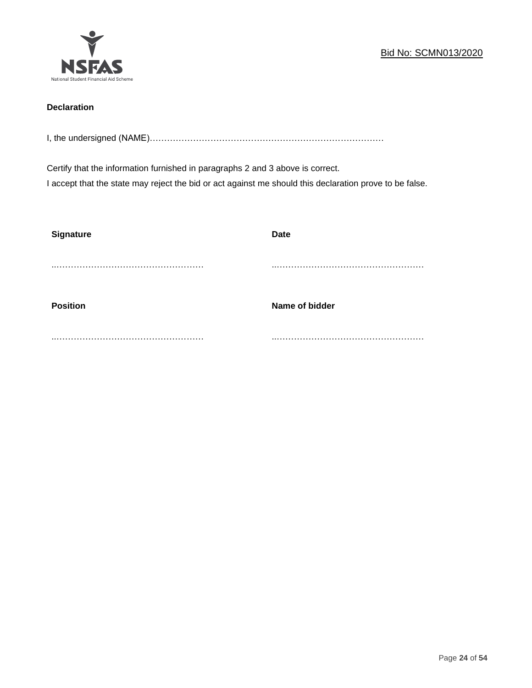

# **Declaration**

I, the undersigned (NAME)………………………………………………………………………

Certify that the information furnished in paragraphs 2 and 3 above is correct. I accept that the state may reject the bid or act against me should this declaration prove to be false.

| <b>Signature</b> | <b>Date</b>    |
|------------------|----------------|
|                  |                |
| <b>Position</b>  | Name of bidder |
|                  |                |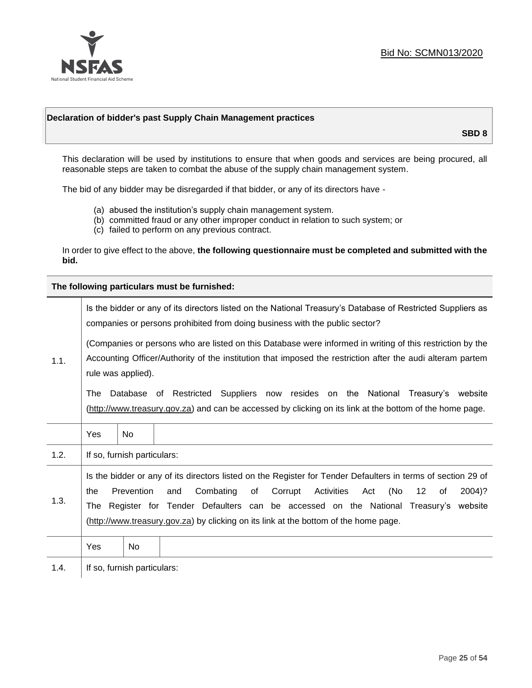

## **Declaration of bidder's past Supply Chain Management practices**

**SBD 8**

This declaration will be used by institutions to ensure that when goods and services are being procured, all reasonable steps are taken to combat the abuse of the supply chain management system.

The bid of any bidder may be disregarded if that bidder, or any of its directors have -

- (a) abused the institution's supply chain management system.
- (b) committed fraud or any other improper conduct in relation to such system; or
- (c) failed to perform on any previous contract.

In order to give effect to the above, **the following questionnaire must be completed and submitted with the bid.**

**The following particulars must be furnished:**

|      | Is the bidder or any of its directors listed on the National Treasury's Database of Restricted Suppliers as<br>companies or persons prohibited from doing business with the public sector?                                                                                                                                                                                                                   |                                                                                                                                                                                                                                               |  |  |
|------|--------------------------------------------------------------------------------------------------------------------------------------------------------------------------------------------------------------------------------------------------------------------------------------------------------------------------------------------------------------------------------------------------------------|-----------------------------------------------------------------------------------------------------------------------------------------------------------------------------------------------------------------------------------------------|--|--|
| 1.1. |                                                                                                                                                                                                                                                                                                                                                                                                              | (Companies or persons who are listed on this Database were informed in writing of this restriction by the<br>Accounting Officer/Authority of the institution that imposed the restriction after the audi alteram partem<br>rule was applied). |  |  |
|      | Database of Restricted Suppliers now resides on the National Treasury's website<br>The<br>(http://www.treasury.gov.za) and can be accessed by clicking on its link at the bottom of the home page.                                                                                                                                                                                                           |                                                                                                                                                                                                                                               |  |  |
|      | Yes                                                                                                                                                                                                                                                                                                                                                                                                          | <b>No</b>                                                                                                                                                                                                                                     |  |  |
| 1.2. |                                                                                                                                                                                                                                                                                                                                                                                                              | If so, furnish particulars:                                                                                                                                                                                                                   |  |  |
| 1.3. | Is the bidder or any of its directors listed on the Register for Tender Defaulters in terms of section 29 of<br>Prevention<br>Combating<br>Activities<br>(No<br>of<br>Corrupt<br>12<br>2004)?<br>the<br>and<br>Act<br>οf<br>Register for Tender Defaulters can be accessed on the National Treasury's website<br>The<br>(http://www.treasury.gov.za) by clicking on its link at the bottom of the home page. |                                                                                                                                                                                                                                               |  |  |
|      | Yes                                                                                                                                                                                                                                                                                                                                                                                                          | No                                                                                                                                                                                                                                            |  |  |
| 1.4. |                                                                                                                                                                                                                                                                                                                                                                                                              | If so, furnish particulars:                                                                                                                                                                                                                   |  |  |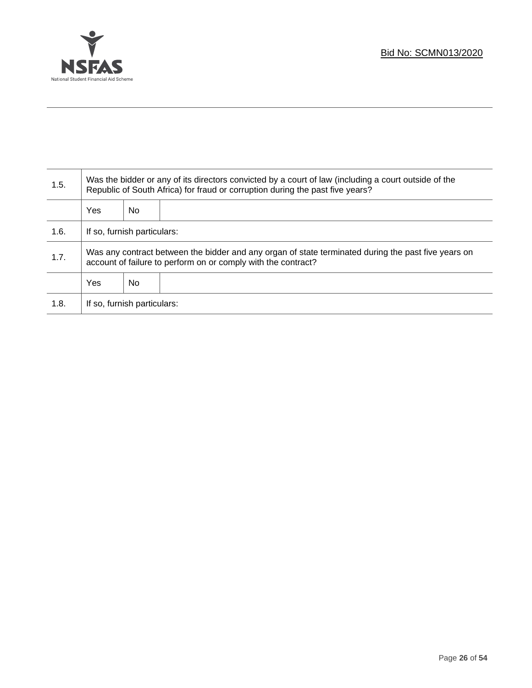

Τ

| 1.5. | Was the bidder or any of its directors convicted by a court of law (including a court outside of the<br>Republic of South Africa) for fraud or corruption during the past five years? |    |  |
|------|---------------------------------------------------------------------------------------------------------------------------------------------------------------------------------------|----|--|
|      | Yes                                                                                                                                                                                   | No |  |
| 1.6. | If so, furnish particulars:                                                                                                                                                           |    |  |
| 1.7. | Was any contract between the bidder and any organ of state terminated during the past five years on<br>account of failure to perform on or comply with the contract?                  |    |  |
|      | Yes                                                                                                                                                                                   | No |  |
| 1.8. | If so, furnish particulars:                                                                                                                                                           |    |  |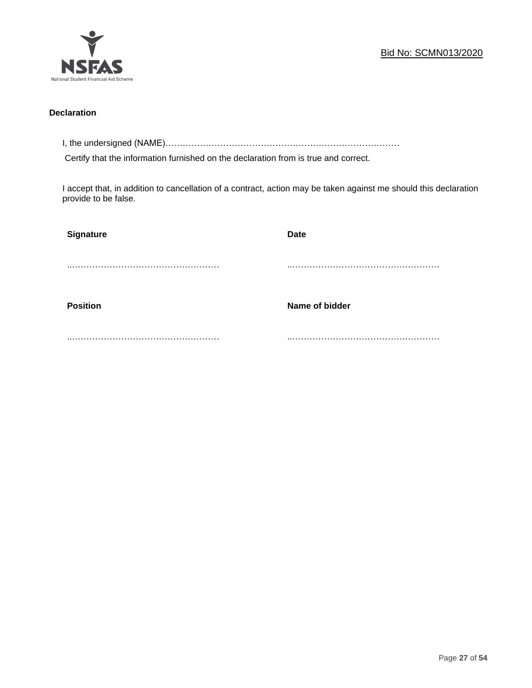

# **Declaration**

I, the undersigned (NAME)………………………………………………………………………

Certify that the information furnished on the declaration from is true and correct.

I accept that, in addition to cancellation of a contract, action may be taken against me should this declaration provide to be false.

| <b>Signature</b> | <b>Date</b>    |
|------------------|----------------|
|                  |                |
| <b>Position</b>  | Name of bidder |
|                  |                |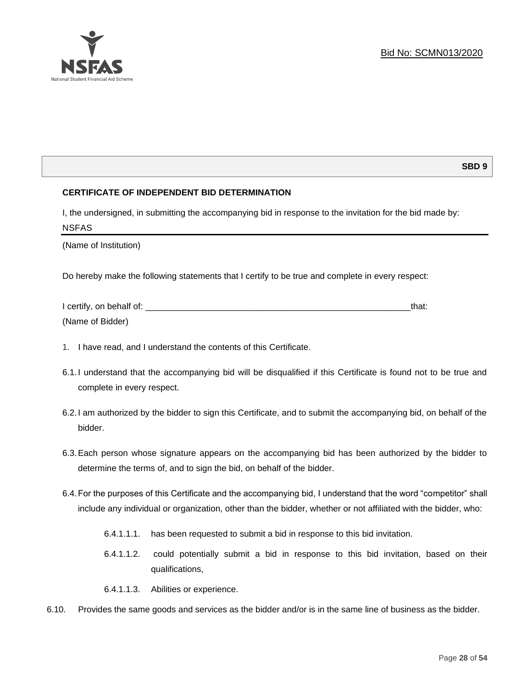

# **SBD 9**

# **CERTIFICATE OF INDEPENDENT BID DETERMINATION**

I, the undersigned, in submitting the accompanying bid in response to the invitation for the bid made by: NSFAS

(Name of Institution)

Do hereby make the following statements that I certify to be true and complete in every respect:

| I certify, on behalf of: |  |
|--------------------------|--|
| (Name of Bidder)         |  |

- 1. I have read, and I understand the contents of this Certificate.
- 6.1.I understand that the accompanying bid will be disqualified if this Certificate is found not to be true and complete in every respect.
- 6.2.I am authorized by the bidder to sign this Certificate, and to submit the accompanying bid, on behalf of the bidder.
- 6.3.Each person whose signature appears on the accompanying bid has been authorized by the bidder to determine the terms of, and to sign the bid, on behalf of the bidder.
- 6.4.For the purposes of this Certificate and the accompanying bid, I understand that the word "competitor" shall include any individual or organization, other than the bidder, whether or not affiliated with the bidder, who:
	- 6.4.1.1.1. has been requested to submit a bid in response to this bid invitation.
	- 6.4.1.1.2. could potentially submit a bid in response to this bid invitation, based on their qualifications,
	- 6.4.1.1.3. Abilities or experience.
- 6.10. Provides the same goods and services as the bidder and/or is in the same line of business as the bidder.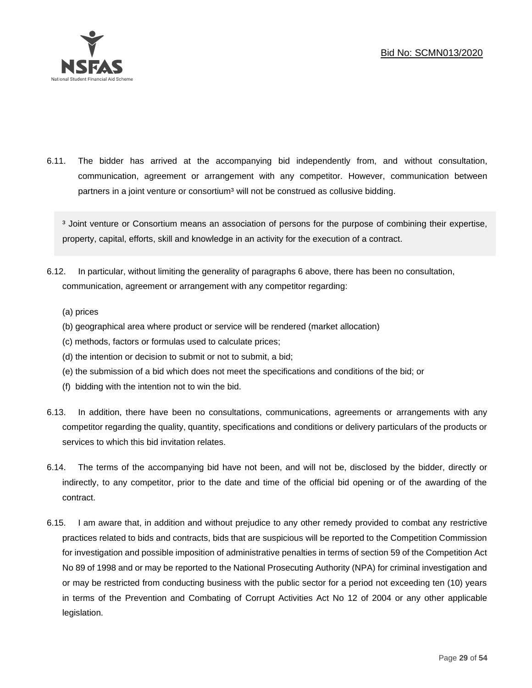

6.11. The bidder has arrived at the accompanying bid independently from, and without consultation, communication, agreement or arrangement with any competitor. However, communication between partners in a joint venture or consortium<sup>3</sup> will not be construed as collusive bidding.

<sup>3</sup> Joint venture or Consortium means an association of persons for the purpose of combining their expertise, property, capital, efforts, skill and knowledge in an activity for the execution of a contract.

- 6.12. In particular, without limiting the generality of paragraphs 6 above, there has been no consultation, communication, agreement or arrangement with any competitor regarding:
	- (a) prices
	- (b) geographical area where product or service will be rendered (market allocation)
	- (c) methods, factors or formulas used to calculate prices;
	- (d) the intention or decision to submit or not to submit, a bid;
	- (e) the submission of a bid which does not meet the specifications and conditions of the bid; or
	- (f) bidding with the intention not to win the bid.
- 6.13. In addition, there have been no consultations, communications, agreements or arrangements with any competitor regarding the quality, quantity, specifications and conditions or delivery particulars of the products or services to which this bid invitation relates.
- 6.14. The terms of the accompanying bid have not been, and will not be, disclosed by the bidder, directly or indirectly, to any competitor, prior to the date and time of the official bid opening or of the awarding of the contract.
- 6.15. I am aware that, in addition and without prejudice to any other remedy provided to combat any restrictive practices related to bids and contracts, bids that are suspicious will be reported to the Competition Commission for investigation and possible imposition of administrative penalties in terms of section 59 of the Competition Act No 89 of 1998 and or may be reported to the National Prosecuting Authority (NPA) for criminal investigation and or may be restricted from conducting business with the public sector for a period not exceeding ten (10) years in terms of the Prevention and Combating of Corrupt Activities Act No 12 of 2004 or any other applicable legislation.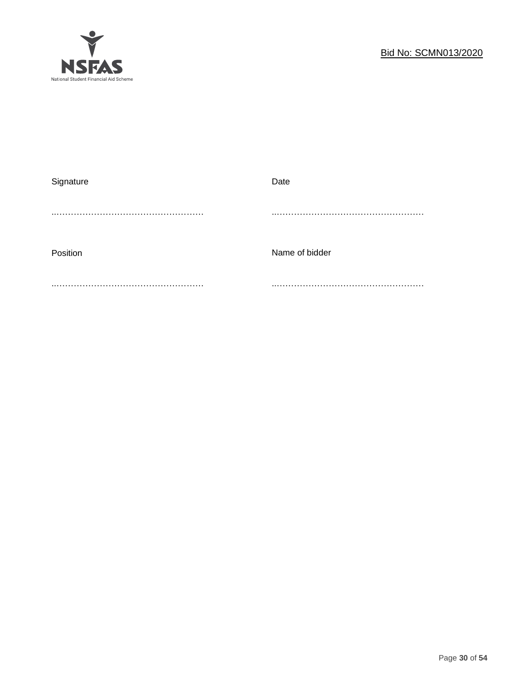

| Signature | Date           |
|-----------|----------------|
|           |                |
|           |                |
|           |                |
| Position  | Name of bidder |
|           |                |
|           |                |
|           |                |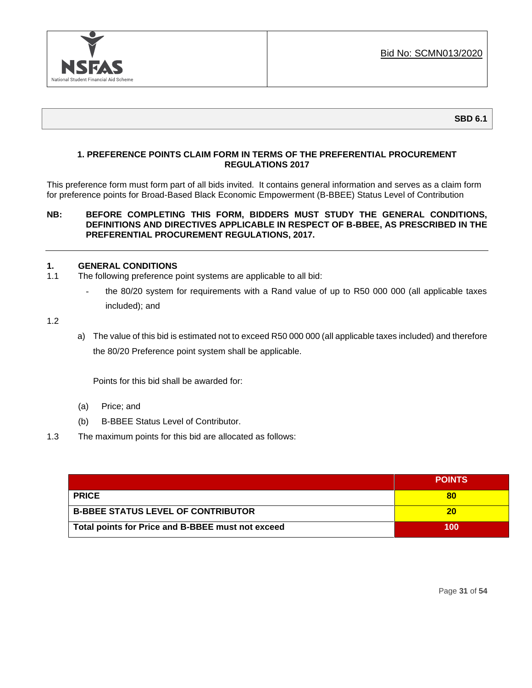

# **1. PREFERENCE POINTS CLAIM FORM IN TERMS OF THE PREFERENTIAL PROCUREMENT REGULATIONS 2017**

This preference form must form part of all bids invited. It contains general information and serves as a claim form for preference points for Broad-Based Black Economic Empowerment (B-BBEE) Status Level of Contribution

# **NB: BEFORE COMPLETING THIS FORM, BIDDERS MUST STUDY THE GENERAL CONDITIONS, DEFINITIONS AND DIRECTIVES APPLICABLE IN RESPECT OF B-BBEE, AS PRESCRIBED IN THE PREFERENTIAL PROCUREMENT REGULATIONS, 2017.**

## **1. GENERAL CONDITIONS**

- 1.1 The following preference point systems are applicable to all bid:
	- the 80/20 system for requirements with a Rand value of up to R50 000 000 (all applicable taxes included); and

1.2

a) The value of this bid is estimated not to exceed R50 000 000 (all applicable taxes included) and therefore the 80/20 Preference point system shall be applicable.

Points for this bid shall be awarded for:

- (a) Price; and
- (b) B-BBEE Status Level of Contributor.
- 1.3 The maximum points for this bid are allocated as follows:

|                                                   | <b>POINTS</b> |
|---------------------------------------------------|---------------|
| <b>PRICE</b>                                      | 80            |
| <b>B-BBEE STATUS LEVEL OF CONTRIBUTOR</b>         | 20            |
| Total points for Price and B-BBEE must not exceed | 100           |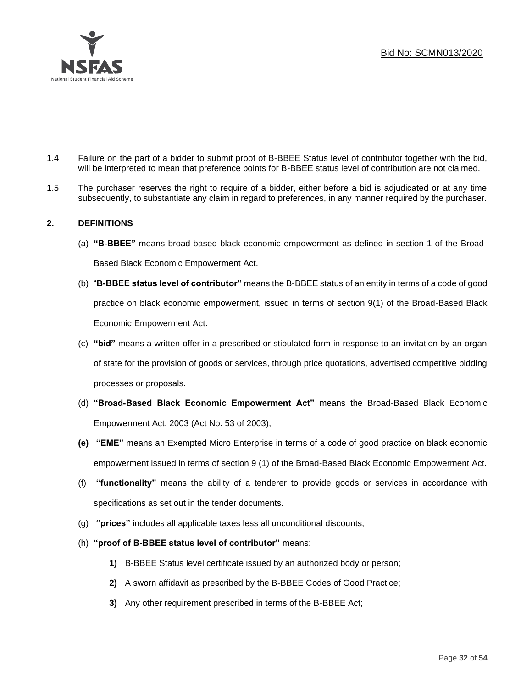

- 1.4 Failure on the part of a bidder to submit proof of B-BBEE Status level of contributor together with the bid, will be interpreted to mean that preference points for B-BBEE status level of contribution are not claimed.
- 1.5 The purchaser reserves the right to require of a bidder, either before a bid is adjudicated or at any time subsequently, to substantiate any claim in regard to preferences, in any manner required by the purchaser.

# **2. DEFINITIONS**

- (a) **"B-BBEE"** means broad-based black economic empowerment as defined in section 1 of the Broad-Based Black Economic Empowerment Act.
- (b) "**B-BBEE status level of contributor"** means the B-BBEE status of an entity in terms of a code of good practice on black economic empowerment, issued in terms of section 9(1) of the Broad-Based Black Economic Empowerment Act.
- (c) **"bid"** means a written offer in a prescribed or stipulated form in response to an invitation by an organ of state for the provision of goods or services, through price quotations, advertised competitive bidding processes or proposals.
- (d) **"Broad-Based Black Economic Empowerment Act"** means the Broad-Based Black Economic Empowerment Act, 2003 (Act No. 53 of 2003);
- **(e) "EME"** means an Exempted Micro Enterprise in terms of a code of good practice on black economic empowerment issued in terms of section 9 (1) of the Broad-Based Black Economic Empowerment Act.
- (f) **"functionality"** means the ability of a tenderer to provide goods or services in accordance with specifications as set out in the tender documents.
- (g) **"prices"** includes all applicable taxes less all unconditional discounts;
- (h) **"proof of B-BBEE status level of contributor"** means:
	- **1)** B-BBEE Status level certificate issued by an authorized body or person;
	- **2)** A sworn affidavit as prescribed by the B-BBEE Codes of Good Practice;
	- **3)** Any other requirement prescribed in terms of the B-BBEE Act;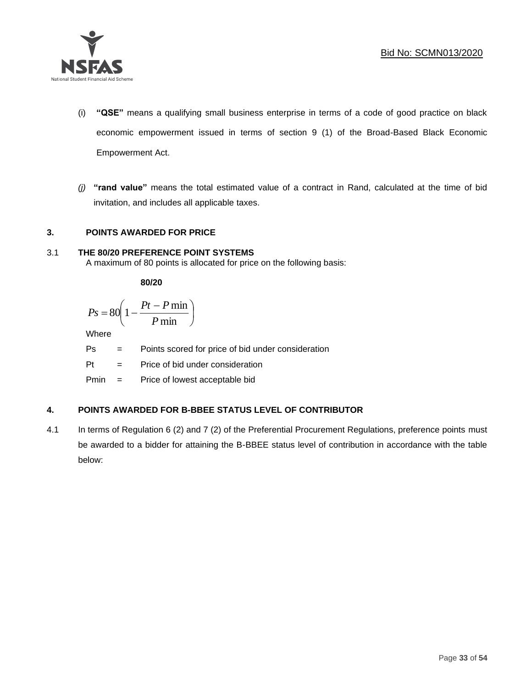

- (i) **"QSE"** means a qualifying small business enterprise in terms of a code of good practice on black economic empowerment issued in terms of section 9 (1) of the Broad-Based Black Economic Empowerment Act.
- *(j)* **"rand value"** means the total estimated value of a contract in Rand, calculated at the time of bid invitation, and includes all applicable taxes.

# **3. POINTS AWARDED FOR PRICE**

# 3.1 **THE 80/20 PREFERENCE POINT SYSTEMS**

A maximum of 80 points is allocated for price on the following basis:

**80/20**

$$
Ps = 80 \left( 1 - \frac{Pt - P \min}{P \min} \right)
$$

Where

Ps = Points scored for price of bid under consideration

l

Pt = Price of bid under consideration

Pmin = Price of lowest acceptable bid

# **4. POINTS AWARDED FOR B-BBEE STATUS LEVEL OF CONTRIBUTOR**

4.1 In terms of Regulation 6 (2) and 7 (2) of the Preferential Procurement Regulations, preference points must be awarded to a bidder for attaining the B-BBEE status level of contribution in accordance with the table below: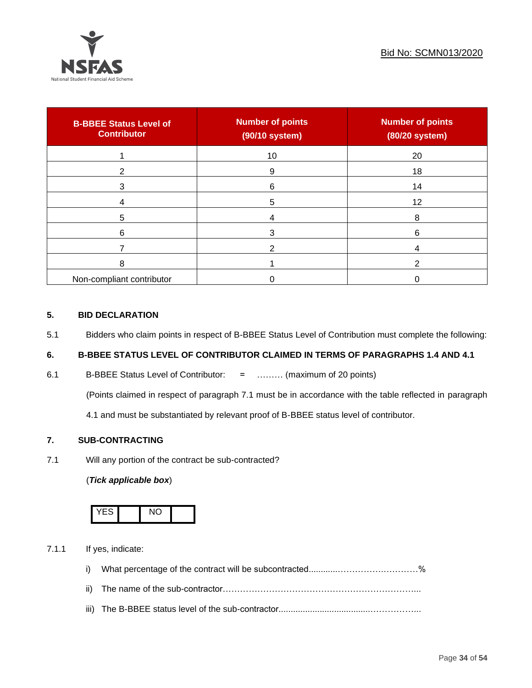

| <b>B-BBEE Status Level of</b><br><b>Contributor</b> | <b>Number of points</b><br>(90/10 system) | <b>Number of points</b><br>(80/20 system) |
|-----------------------------------------------------|-------------------------------------------|-------------------------------------------|
|                                                     | 10                                        | 20                                        |
| າ                                                   | 9                                         | 18                                        |
| 3                                                   | 6                                         | 14                                        |
|                                                     | 5                                         | 12                                        |
| 5                                                   |                                           | 8                                         |
| 6                                                   |                                           | 6                                         |
|                                                     |                                           |                                           |
| 8                                                   |                                           | ົ                                         |
| Non-compliant contributor                           |                                           |                                           |

# **5. BID DECLARATION**

5.1 Bidders who claim points in respect of B-BBEE Status Level of Contribution must complete the following:

# **6. B-BBEE STATUS LEVEL OF CONTRIBUTOR CLAIMED IN TERMS OF PARAGRAPHS 1.4 AND 4.1**

6.1 B-BBEE Status Level of Contributor: = ……… (maximum of 20 points)

(Points claimed in respect of paragraph 7.1 must be in accordance with the table reflected in paragraph

4.1 and must be substantiated by relevant proof of B-BBEE status level of contributor.

# **7. SUB-CONTRACTING**

7.1 Will any portion of the contract be sub-contracted?

# (*Tick applicable box*)



7.1.1 If yes, indicate:

- i) What percentage of the contract will be subcontracted............…………….…………%
- ii) The name of the sub-contractor…………………………………………………………...
- iii) The B-BBEE status level of the sub-contractor......................................……………...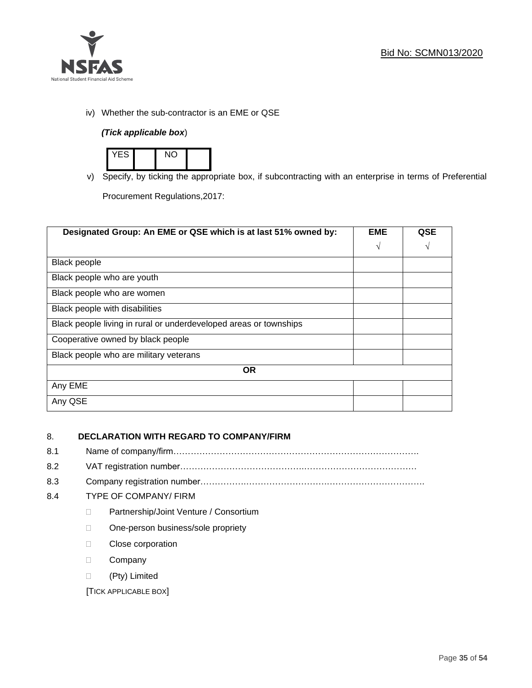

iv) Whether the sub-contractor is an EME or QSE

# *(Tick applicable box*)



v) Specify, by ticking the appropriate box, if subcontracting with an enterprise in terms of Preferential

Procurement Regulations,2017:

| Designated Group: An EME or QSE which is at last 51% owned by:    | <b>EME</b> | <b>QSE</b> |
|-------------------------------------------------------------------|------------|------------|
|                                                                   | $\sqrt{ }$ | V          |
| <b>Black people</b>                                               |            |            |
| Black people who are youth                                        |            |            |
| Black people who are women                                        |            |            |
| Black people with disabilities                                    |            |            |
| Black people living in rural or underdeveloped areas or townships |            |            |
| Cooperative owned by black people                                 |            |            |
| Black people who are military veterans                            |            |            |
| <b>OR</b>                                                         |            |            |
| Any EME                                                           |            |            |
| Any QSE                                                           |            |            |

# 8. **DECLARATION WITH REGARD TO COMPANY/FIRM**

- 8.1 Name of company/firm………………………………………………………………………….
- 8.2 VAT registration number…………………………………….…………………………………
- 8.3 Company registration number…………….……………………….…………………………….

# 8.4 TYPE OF COMPANY/ FIRM

- D Partnership/Joint Venture / Consortium
- □ One-person business/sole propriety
- D Close corporation
- D Company
- (Pty) Limited

[TICK APPLICABLE BOX]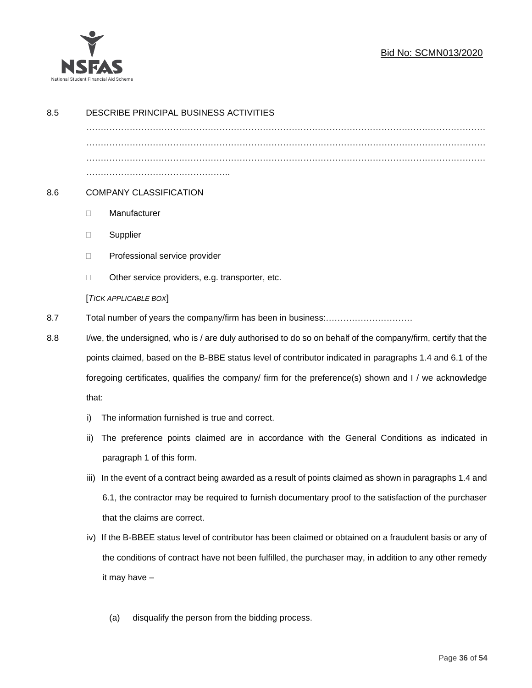

# Bid No: SCMN013/2020

| 8.5 | DESCRIBE PRINCIPAL BUSINESS ACTIVITIES |                                                                                                              |  |
|-----|----------------------------------------|--------------------------------------------------------------------------------------------------------------|--|
|     |                                        |                                                                                                              |  |
|     |                                        |                                                                                                              |  |
|     |                                        |                                                                                                              |  |
| 8.6 |                                        | <b>COMPANY CLASSIFICATION</b>                                                                                |  |
|     | O.                                     | Manufacturer                                                                                                 |  |
|     | □                                      | Supplier                                                                                                     |  |
|     | □                                      | Professional service provider                                                                                |  |
|     | $\Box$                                 | Other service providers, e.g. transporter, etc.                                                              |  |
|     |                                        | [TICK APPLICABLE BOX]                                                                                        |  |
| 8.7 |                                        |                                                                                                              |  |
| 8.8 |                                        | I/we, the undersigned, who is / are duly authorised to do so on behalf of the company/firm, certify that the |  |
|     |                                        | points claimed, based on the B-BBE status level of contributor indicated in paragraphs 1.4 and 6.1 of the    |  |
|     |                                        | foregoing certificates, qualifies the company/ firm for the preference(s) shown and I / we acknowledge       |  |
|     | that:                                  |                                                                                                              |  |
|     | i)                                     | The information furnished is true and correct.                                                               |  |
|     | ii)                                    | The preference points claimed are in accordance with the General Conditions as indicated in                  |  |
|     |                                        | paragraph 1 of this form.                                                                                    |  |
|     | iii)                                   | In the event of a contract being awarded as a result of points claimed as shown in paragraphs 1.4 and        |  |
|     |                                        | 6.1, the contractor may be required to furnish documentary proof to the satisfaction of the purchaser        |  |
|     |                                        | that the claims are correct.                                                                                 |  |
|     | iv)                                    | If the B-BBEE status level of contributor has been claimed or obtained on a fraudulent basis or any of       |  |
|     |                                        | the conditions of contract have not been fulfilled, the purchaser may, in addition to any other remedy       |  |
|     |                                        | it may have -                                                                                                |  |
|     |                                        |                                                                                                              |  |
|     |                                        | disqualify the person from the bidding process.<br>(a)                                                       |  |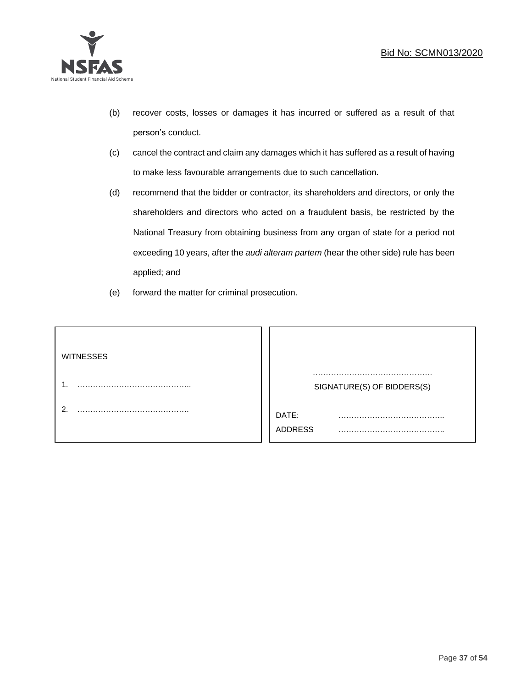

- (b) recover costs, losses or damages it has incurred or suffered as a result of that person's conduct.
- (c) cancel the contract and claim any damages which it has suffered as a result of having to make less favourable arrangements due to such cancellation.
- (d) recommend that the bidder or contractor, its shareholders and directors, or only the shareholders and directors who acted on a fraudulent basis, be restricted by the National Treasury from obtaining business from any organ of state for a period not exceeding 10 years, after the *audi alteram partem* (hear the other side) rule has been applied; and
- (e) forward the matter for criminal prosecution.

| <b>WITNESSES</b> |                            |
|------------------|----------------------------|
|                  | SIGNATURE(S) OF BIDDERS(S) |
|                  | DATE:<br>.<br>ADDRESS      |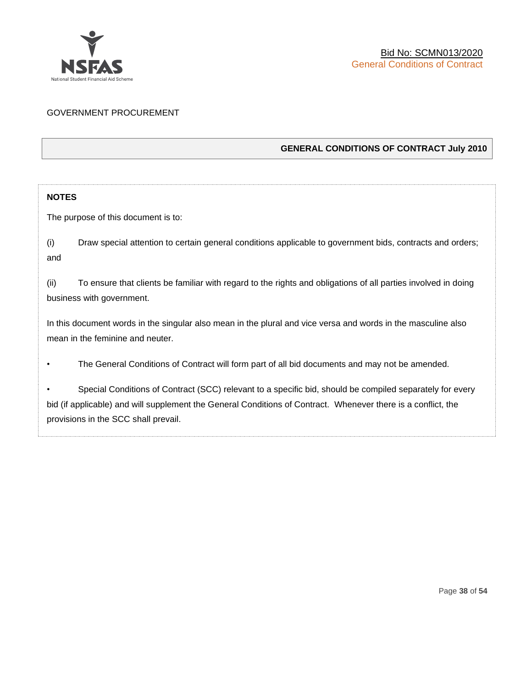

# GOVERNMENT PROCUREMENT

# **GENERAL CONDITIONS OF CONTRACT July 2010**

# **NOTES**

The purpose of this document is to:

(i) Draw special attention to certain general conditions applicable to government bids, contracts and orders; and

(ii) To ensure that clients be familiar with regard to the rights and obligations of all parties involved in doing business with government.

In this document words in the singular also mean in the plural and vice versa and words in the masculine also mean in the feminine and neuter.

• The General Conditions of Contract will form part of all bid documents and may not be amended.

Special Conditions of Contract (SCC) relevant to a specific bid, should be compiled separately for every bid (if applicable) and will supplement the General Conditions of Contract. Whenever there is a conflict, the provisions in the SCC shall prevail.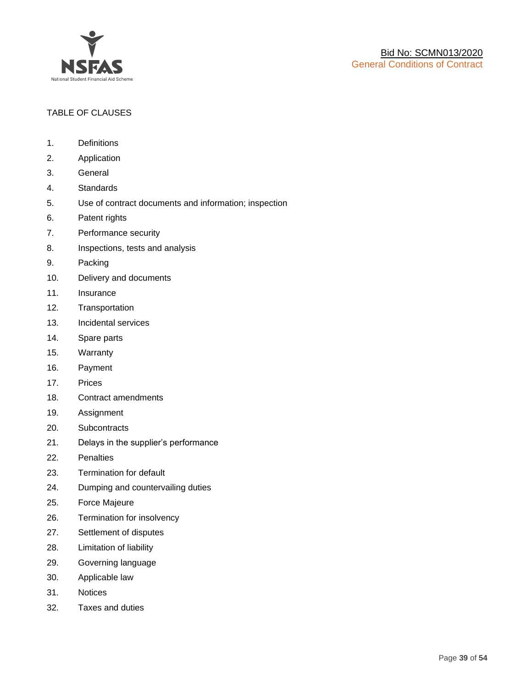

# TABLE OF CLAUSES

- 1. Definitions
- 2. Application
- 3. General
- 4. Standards
- 5. Use of contract documents and information; inspection
- 6. Patent rights
- 7. Performance security
- 8. Inspections, tests and analysis
- 9. Packing
- 10. Delivery and documents
- 11. Insurance
- 12. Transportation
- 13. Incidental services
- 14. Spare parts
- 15. Warranty
- 16. Payment
- 17. Prices
- 18. Contract amendments
- 19. Assignment
- 20. Subcontracts
- 21. Delays in the supplier's performance
- 22. Penalties
- 23. Termination for default
- 24. Dumping and countervailing duties
- 25. Force Majeure
- 26. Termination for insolvency
- 27. Settlement of disputes
- 28. Limitation of liability
- 29. Governing language
- 30. Applicable law
- 31. Notices
- 32. Taxes and duties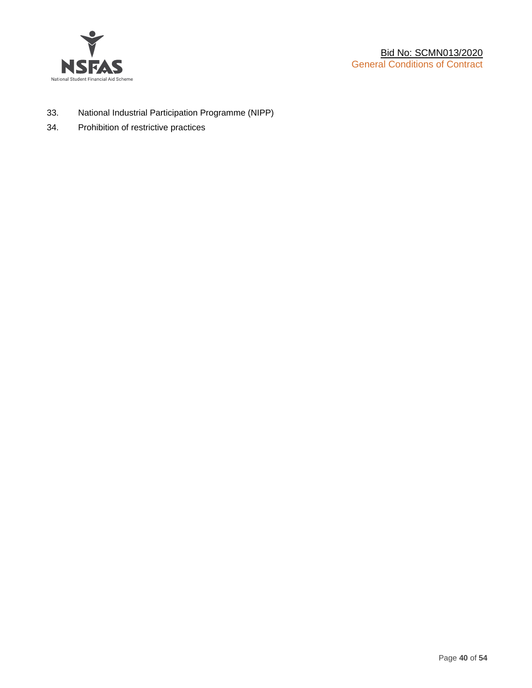

- 33. National Industrial Participation Programme (NIPP)
- 34. Prohibition of restrictive practices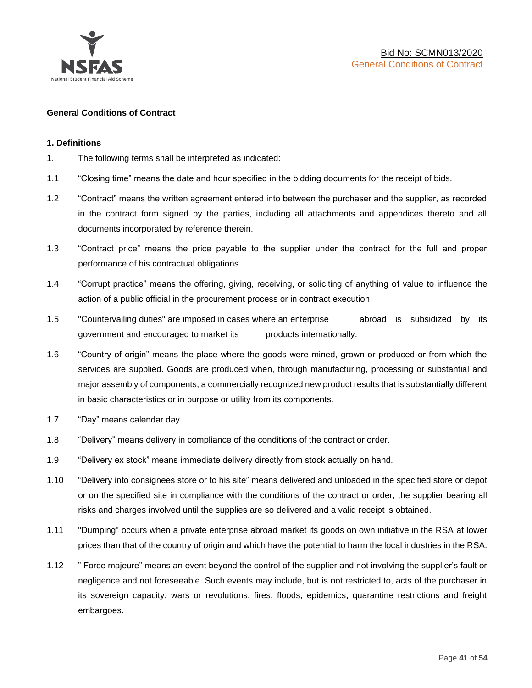

## **General Conditions of Contract**

#### **1. Definitions**

- 1. The following terms shall be interpreted as indicated:
- 1.1 "Closing time" means the date and hour specified in the bidding documents for the receipt of bids.
- 1.2 "Contract" means the written agreement entered into between the purchaser and the supplier, as recorded in the contract form signed by the parties, including all attachments and appendices thereto and all documents incorporated by reference therein.
- 1.3 "Contract price" means the price payable to the supplier under the contract for the full and proper performance of his contractual obligations.
- 1.4 "Corrupt practice" means the offering, giving, receiving, or soliciting of anything of value to influence the action of a public official in the procurement process or in contract execution.
- 1.5 "Countervailing duties" are imposed in cases where an enterprise abroad is subsidized by its government and encouraged to market its products internationally.
- 1.6 "Country of origin" means the place where the goods were mined, grown or produced or from which the services are supplied. Goods are produced when, through manufacturing, processing or substantial and major assembly of components, a commercially recognized new product results that is substantially different in basic characteristics or in purpose or utility from its components.
- 1.7 "Day" means calendar day.
- 1.8 "Delivery" means delivery in compliance of the conditions of the contract or order.
- 1.9 "Delivery ex stock" means immediate delivery directly from stock actually on hand.
- 1.10 "Delivery into consignees store or to his site" means delivered and unloaded in the specified store or depot or on the specified site in compliance with the conditions of the contract or order, the supplier bearing all risks and charges involved until the supplies are so delivered and a valid receipt is obtained.
- 1.11 "Dumping" occurs when a private enterprise abroad market its goods on own initiative in the RSA at lower prices than that of the country of origin and which have the potential to harm the local industries in the RSA.
- 1.12 " Force majeure" means an event beyond the control of the supplier and not involving the supplier's fault or negligence and not foreseeable. Such events may include, but is not restricted to, acts of the purchaser in its sovereign capacity, wars or revolutions, fires, floods, epidemics, quarantine restrictions and freight embargoes.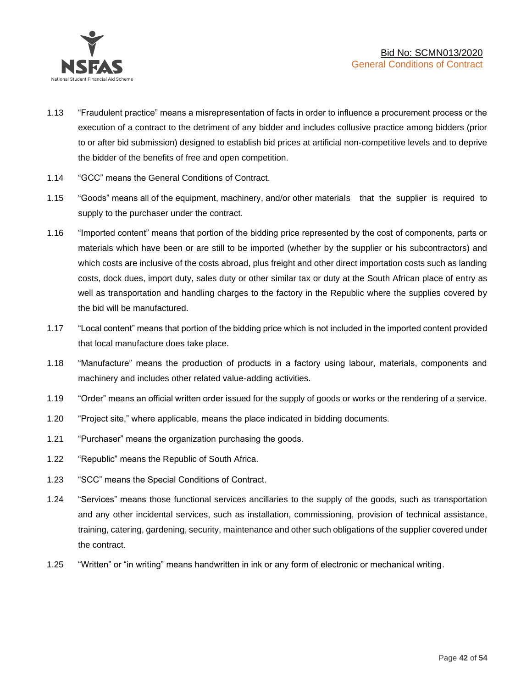

- 1.13 "Fraudulent practice" means a misrepresentation of facts in order to influence a procurement process or the execution of a contract to the detriment of any bidder and includes collusive practice among bidders (prior to or after bid submission) designed to establish bid prices at artificial non-competitive levels and to deprive the bidder of the benefits of free and open competition.
- 1.14 "GCC" means the General Conditions of Contract.
- 1.15 "Goods" means all of the equipment, machinery, and/or other materials that the supplier is required to supply to the purchaser under the contract.
- 1.16 "Imported content" means that portion of the bidding price represented by the cost of components, parts or materials which have been or are still to be imported (whether by the supplier or his subcontractors) and which costs are inclusive of the costs abroad, plus freight and other direct importation costs such as landing costs, dock dues, import duty, sales duty or other similar tax or duty at the South African place of entry as well as transportation and handling charges to the factory in the Republic where the supplies covered by the bid will be manufactured.
- 1.17 "Local content" means that portion of the bidding price which is not included in the imported content provided that local manufacture does take place.
- 1.18 "Manufacture" means the production of products in a factory using labour, materials, components and machinery and includes other related value-adding activities.
- 1.19 "Order" means an official written order issued for the supply of goods or works or the rendering of a service.
- 1.20 "Project site," where applicable, means the place indicated in bidding documents.
- 1.21 "Purchaser" means the organization purchasing the goods.
- 1.22 "Republic" means the Republic of South Africa.
- 1.23 "SCC" means the Special Conditions of Contract.
- 1.24 "Services" means those functional services ancillaries to the supply of the goods, such as transportation and any other incidental services, such as installation, commissioning, provision of technical assistance, training, catering, gardening, security, maintenance and other such obligations of the supplier covered under the contract.
- 1.25 "Written" or "in writing" means handwritten in ink or any form of electronic or mechanical writing.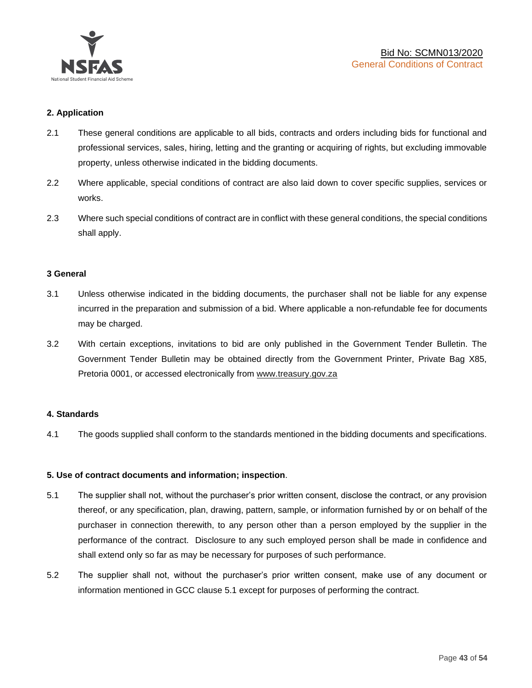

# **2. Application**

- 2.1 These general conditions are applicable to all bids, contracts and orders including bids for functional and professional services, sales, hiring, letting and the granting or acquiring of rights, but excluding immovable property, unless otherwise indicated in the bidding documents.
- 2.2 Where applicable, special conditions of contract are also laid down to cover specific supplies, services or works.
- 2.3 Where such special conditions of contract are in conflict with these general conditions, the special conditions shall apply.

#### **3 General**

- 3.1 Unless otherwise indicated in the bidding documents, the purchaser shall not be liable for any expense incurred in the preparation and submission of a bid. Where applicable a non-refundable fee for documents may be charged.
- 3.2 With certain exceptions, invitations to bid are only published in the Government Tender Bulletin. The Government Tender Bulletin may be obtained directly from the Government Printer, Private Bag X85, Pretoria 0001, or accessed electronically from [www.treasury.gov.za](http://www.treasury.gov.za/)

#### **4. Standards**

4.1 The goods supplied shall conform to the standards mentioned in the bidding documents and specifications.

#### **5. Use of contract documents and information; inspection**.

- 5.1 The supplier shall not, without the purchaser's prior written consent, disclose the contract, or any provision thereof, or any specification, plan, drawing, pattern, sample, or information furnished by or on behalf of the purchaser in connection therewith, to any person other than a person employed by the supplier in the performance of the contract. Disclosure to any such employed person shall be made in confidence and shall extend only so far as may be necessary for purposes of such performance.
- 5.2 The supplier shall not, without the purchaser's prior written consent, make use of any document or information mentioned in GCC clause 5.1 except for purposes of performing the contract.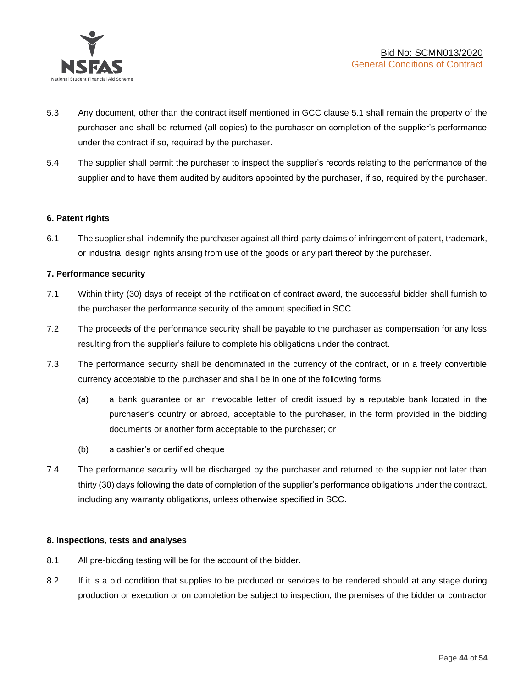

- 5.3 Any document, other than the contract itself mentioned in GCC clause 5.1 shall remain the property of the purchaser and shall be returned (all copies) to the purchaser on completion of the supplier's performance under the contract if so, required by the purchaser.
- 5.4 The supplier shall permit the purchaser to inspect the supplier's records relating to the performance of the supplier and to have them audited by auditors appointed by the purchaser, if so, required by the purchaser.

## **6. Patent rights**

6.1 The supplier shall indemnify the purchaser against all third-party claims of infringement of patent, trademark, or industrial design rights arising from use of the goods or any part thereof by the purchaser.

## **7. Performance security**

- 7.1 Within thirty (30) days of receipt of the notification of contract award, the successful bidder shall furnish to the purchaser the performance security of the amount specified in SCC.
- 7.2 The proceeds of the performance security shall be payable to the purchaser as compensation for any loss resulting from the supplier's failure to complete his obligations under the contract.
- 7.3 The performance security shall be denominated in the currency of the contract, or in a freely convertible currency acceptable to the purchaser and shall be in one of the following forms:
	- (a) a bank guarantee or an irrevocable letter of credit issued by a reputable bank located in the purchaser's country or abroad, acceptable to the purchaser, in the form provided in the bidding documents or another form acceptable to the purchaser; or
	- (b) a cashier's or certified cheque
- 7.4 The performance security will be discharged by the purchaser and returned to the supplier not later than thirty (30) days following the date of completion of the supplier's performance obligations under the contract, including any warranty obligations, unless otherwise specified in SCC.

#### **8. Inspections, tests and analyses**

- 8.1 All pre-bidding testing will be for the account of the bidder.
- 8.2 If it is a bid condition that supplies to be produced or services to be rendered should at any stage during production or execution or on completion be subject to inspection, the premises of the bidder or contractor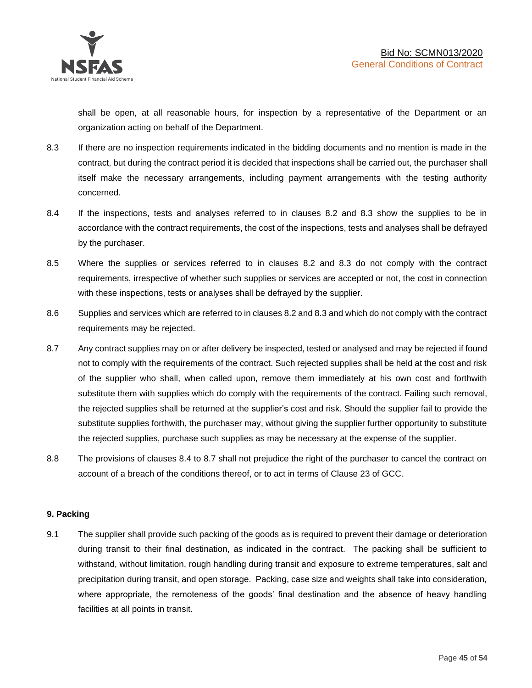shall be open, at all reasonable hours, for inspection by a representative of the Department or an organization acting on behalf of the Department.

- 8.3 If there are no inspection requirements indicated in the bidding documents and no mention is made in the contract, but during the contract period it is decided that inspections shall be carried out, the purchaser shall itself make the necessary arrangements, including payment arrangements with the testing authority concerned.
- 8.4 If the inspections, tests and analyses referred to in clauses 8.2 and 8.3 show the supplies to be in accordance with the contract requirements, the cost of the inspections, tests and analyses shall be defrayed by the purchaser.
- 8.5 Where the supplies or services referred to in clauses 8.2 and 8.3 do not comply with the contract requirements, irrespective of whether such supplies or services are accepted or not, the cost in connection with these inspections, tests or analyses shall be defrayed by the supplier.
- 8.6 Supplies and services which are referred to in clauses 8.2 and 8.3 and which do not comply with the contract requirements may be rejected.
- 8.7 Any contract supplies may on or after delivery be inspected, tested or analysed and may be rejected if found not to comply with the requirements of the contract. Such rejected supplies shall be held at the cost and risk of the supplier who shall, when called upon, remove them immediately at his own cost and forthwith substitute them with supplies which do comply with the requirements of the contract. Failing such removal, the rejected supplies shall be returned at the supplier's cost and risk. Should the supplier fail to provide the substitute supplies forthwith, the purchaser may, without giving the supplier further opportunity to substitute the rejected supplies, purchase such supplies as may be necessary at the expense of the supplier.
- 8.8 The provisions of clauses 8.4 to 8.7 shall not prejudice the right of the purchaser to cancel the contract on account of a breach of the conditions thereof, or to act in terms of Clause 23 of GCC.

# **9. Packing**

9.1 The supplier shall provide such packing of the goods as is required to prevent their damage or deterioration during transit to their final destination, as indicated in the contract. The packing shall be sufficient to withstand, without limitation, rough handling during transit and exposure to extreme temperatures, salt and precipitation during transit, and open storage. Packing, case size and weights shall take into consideration, where appropriate, the remoteness of the goods' final destination and the absence of heavy handling facilities at all points in transit.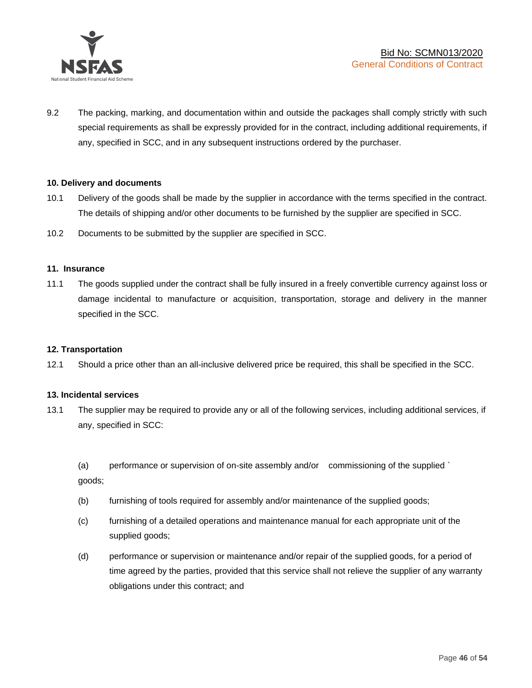

9.2 The packing, marking, and documentation within and outside the packages shall comply strictly with such special requirements as shall be expressly provided for in the contract, including additional requirements, if any, specified in SCC, and in any subsequent instructions ordered by the purchaser.

## **10. Delivery and documents**

- 10.1 Delivery of the goods shall be made by the supplier in accordance with the terms specified in the contract. The details of shipping and/or other documents to be furnished by the supplier are specified in SCC.
- 10.2 Documents to be submitted by the supplier are specified in SCC.

#### **11. Insurance**

11.1 The goods supplied under the contract shall be fully insured in a freely convertible currency against loss or damage incidental to manufacture or acquisition, transportation, storage and delivery in the manner specified in the SCC.

#### **12. Transportation**

12.1 Should a price other than an all-inclusive delivered price be required, this shall be specified in the SCC.

#### **13. Incidental services**

13.1 The supplier may be required to provide any or all of the following services, including additional services, if any, specified in SCC:

(a) performance or supervision of on-site assembly and/or commissioning of the supplied ` goods;

- (b) furnishing of tools required for assembly and/or maintenance of the supplied goods;
- (c) furnishing of a detailed operations and maintenance manual for each appropriate unit of the supplied goods;
- (d) performance or supervision or maintenance and/or repair of the supplied goods, for a period of time agreed by the parties, provided that this service shall not relieve the supplier of any warranty obligations under this contract; and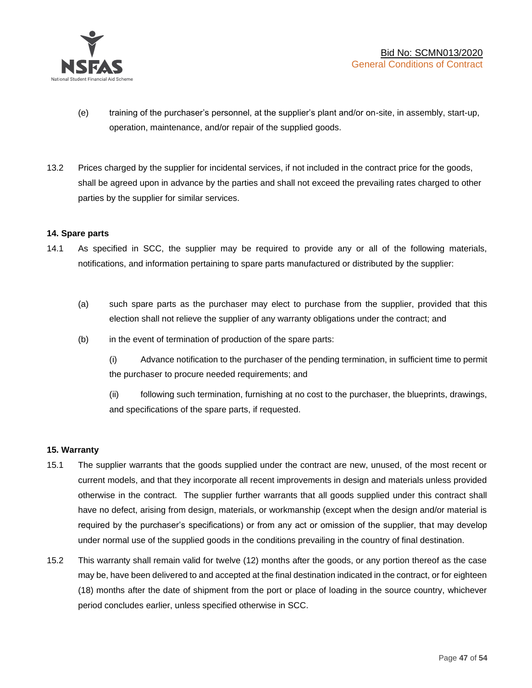

- (e) training of the purchaser's personnel, at the supplier's plant and/or on-site, in assembly, start-up, operation, maintenance, and/or repair of the supplied goods.
- 13.2 Prices charged by the supplier for incidental services, if not included in the contract price for the goods, shall be agreed upon in advance by the parties and shall not exceed the prevailing rates charged to other parties by the supplier for similar services.

## **14. Spare parts**

- 14.1 As specified in SCC, the supplier may be required to provide any or all of the following materials, notifications, and information pertaining to spare parts manufactured or distributed by the supplier:
	- (a) such spare parts as the purchaser may elect to purchase from the supplier, provided that this election shall not relieve the supplier of any warranty obligations under the contract; and
	- (b) in the event of termination of production of the spare parts:

(i) Advance notification to the purchaser of the pending termination, in sufficient time to permit the purchaser to procure needed requirements; and

(ii) following such termination, furnishing at no cost to the purchaser, the blueprints, drawings, and specifications of the spare parts, if requested.

#### **15. Warranty**

- 15.1 The supplier warrants that the goods supplied under the contract are new, unused, of the most recent or current models, and that they incorporate all recent improvements in design and materials unless provided otherwise in the contract. The supplier further warrants that all goods supplied under this contract shall have no defect, arising from design, materials, or workmanship (except when the design and/or material is required by the purchaser's specifications) or from any act or omission of the supplier, that may develop under normal use of the supplied goods in the conditions prevailing in the country of final destination.
- 15.2 This warranty shall remain valid for twelve (12) months after the goods, or any portion thereof as the case may be, have been delivered to and accepted at the final destination indicated in the contract, or for eighteen (18) months after the date of shipment from the port or place of loading in the source country, whichever period concludes earlier, unless specified otherwise in SCC.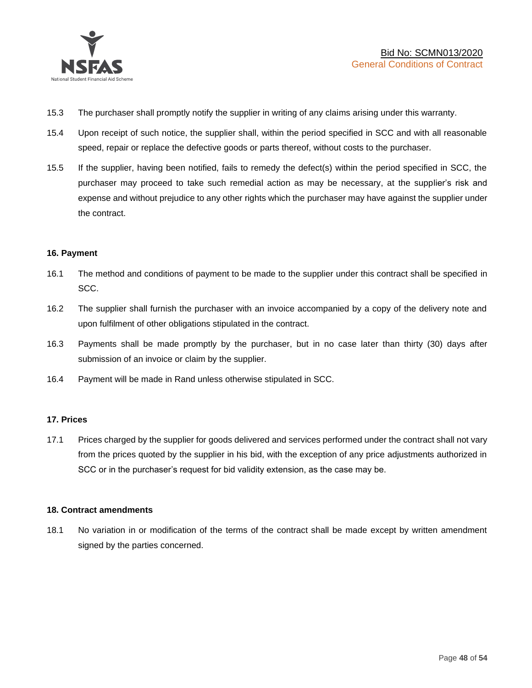

- 15.3 The purchaser shall promptly notify the supplier in writing of any claims arising under this warranty.
- 15.4 Upon receipt of such notice, the supplier shall, within the period specified in SCC and with all reasonable speed, repair or replace the defective goods or parts thereof, without costs to the purchaser.
- 15.5 If the supplier, having been notified, fails to remedy the defect(s) within the period specified in SCC, the purchaser may proceed to take such remedial action as may be necessary, at the supplier's risk and expense and without prejudice to any other rights which the purchaser may have against the supplier under the contract.

## **16. Payment**

- 16.1 The method and conditions of payment to be made to the supplier under this contract shall be specified in SCC.
- 16.2 The supplier shall furnish the purchaser with an invoice accompanied by a copy of the delivery note and upon fulfilment of other obligations stipulated in the contract.
- 16.3 Payments shall be made promptly by the purchaser, but in no case later than thirty (30) days after submission of an invoice or claim by the supplier.
- 16.4 Payment will be made in Rand unless otherwise stipulated in SCC.

#### **17. Prices**

17.1 Prices charged by the supplier for goods delivered and services performed under the contract shall not vary from the prices quoted by the supplier in his bid, with the exception of any price adjustments authorized in SCC or in the purchaser's request for bid validity extension, as the case may be.

#### **18. Contract amendments**

18.1 No variation in or modification of the terms of the contract shall be made except by written amendment signed by the parties concerned.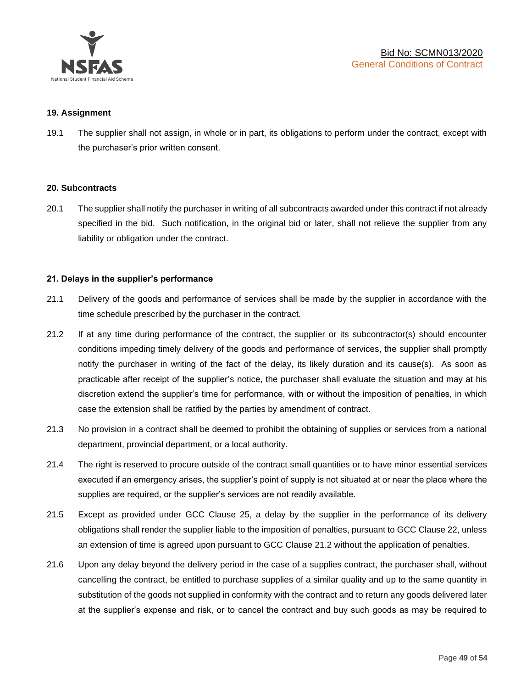

#### **19. Assignment**

19.1 The supplier shall not assign, in whole or in part, its obligations to perform under the contract, except with the purchaser's prior written consent.

#### **20. Subcontracts**

20.1 The supplier shall notify the purchaser in writing of all subcontracts awarded under this contract if not already specified in the bid. Such notification, in the original bid or later, shall not relieve the supplier from any liability or obligation under the contract.

## **21. Delays in the supplier's performance**

- 21.1 Delivery of the goods and performance of services shall be made by the supplier in accordance with the time schedule prescribed by the purchaser in the contract.
- 21.2 If at any time during performance of the contract, the supplier or its subcontractor(s) should encounter conditions impeding timely delivery of the goods and performance of services, the supplier shall promptly notify the purchaser in writing of the fact of the delay, its likely duration and its cause(s). As soon as practicable after receipt of the supplier's notice, the purchaser shall evaluate the situation and may at his discretion extend the supplier's time for performance, with or without the imposition of penalties, in which case the extension shall be ratified by the parties by amendment of contract.
- 21.3 No provision in a contract shall be deemed to prohibit the obtaining of supplies or services from a national department, provincial department, or a local authority.
- 21.4 The right is reserved to procure outside of the contract small quantities or to have minor essential services executed if an emergency arises, the supplier's point of supply is not situated at or near the place where the supplies are required, or the supplier's services are not readily available.
- 21.5 Except as provided under GCC Clause 25, a delay by the supplier in the performance of its delivery obligations shall render the supplier liable to the imposition of penalties, pursuant to GCC Clause 22, unless an extension of time is agreed upon pursuant to GCC Clause 21.2 without the application of penalties.
- 21.6 Upon any delay beyond the delivery period in the case of a supplies contract, the purchaser shall, without cancelling the contract, be entitled to purchase supplies of a similar quality and up to the same quantity in substitution of the goods not supplied in conformity with the contract and to return any goods delivered later at the supplier's expense and risk, or to cancel the contract and buy such goods as may be required to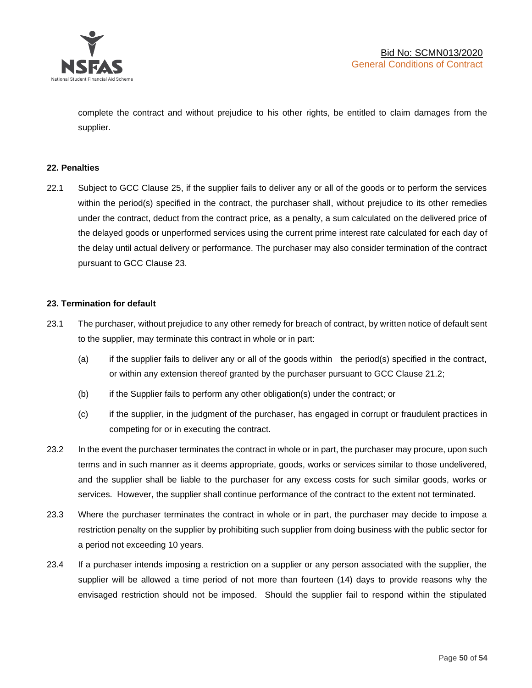

complete the contract and without prejudice to his other rights, be entitled to claim damages from the supplier.

#### **22. Penalties**

22.1 Subject to GCC Clause 25, if the supplier fails to deliver any or all of the goods or to perform the services within the period(s) specified in the contract, the purchaser shall, without prejudice to its other remedies under the contract, deduct from the contract price, as a penalty, a sum calculated on the delivered price of the delayed goods or unperformed services using the current prime interest rate calculated for each day of the delay until actual delivery or performance. The purchaser may also consider termination of the contract pursuant to GCC Clause 23.

#### **23. Termination for default**

- 23.1 The purchaser, without prejudice to any other remedy for breach of contract, by written notice of default sent to the supplier, may terminate this contract in whole or in part:
	- (a) if the supplier fails to deliver any or all of the goods within the period(s) specified in the contract, or within any extension thereof granted by the purchaser pursuant to GCC Clause 21.2;
	- (b) if the Supplier fails to perform any other obligation(s) under the contract; or
	- (c) if the supplier, in the judgment of the purchaser, has engaged in corrupt or fraudulent practices in competing for or in executing the contract.
- 23.2 In the event the purchaser terminates the contract in whole or in part, the purchaser may procure, upon such terms and in such manner as it deems appropriate, goods, works or services similar to those undelivered, and the supplier shall be liable to the purchaser for any excess costs for such similar goods, works or services. However, the supplier shall continue performance of the contract to the extent not terminated.
- 23.3 Where the purchaser terminates the contract in whole or in part, the purchaser may decide to impose a restriction penalty on the supplier by prohibiting such supplier from doing business with the public sector for a period not exceeding 10 years.
- 23.4 If a purchaser intends imposing a restriction on a supplier or any person associated with the supplier, the supplier will be allowed a time period of not more than fourteen (14) days to provide reasons why the envisaged restriction should not be imposed. Should the supplier fail to respond within the stipulated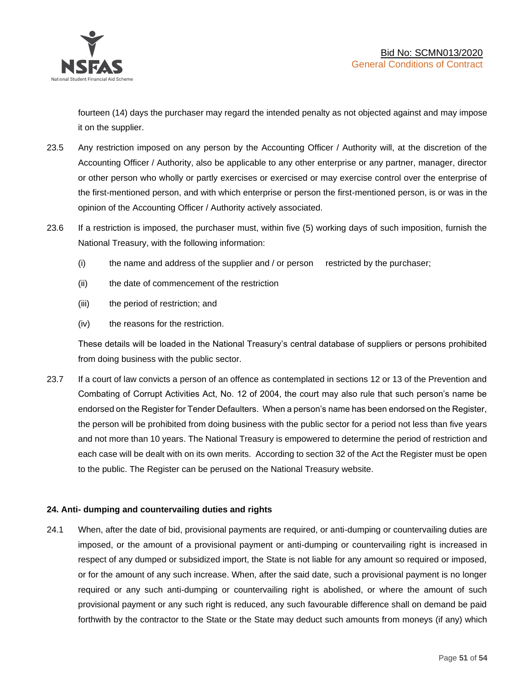

fourteen (14) days the purchaser may regard the intended penalty as not objected against and may impose it on the supplier.

- 23.5 Any restriction imposed on any person by the Accounting Officer / Authority will, at the discretion of the Accounting Officer / Authority, also be applicable to any other enterprise or any partner, manager, director or other person who wholly or partly exercises or exercised or may exercise control over the enterprise of the first-mentioned person, and with which enterprise or person the first-mentioned person, is or was in the opinion of the Accounting Officer / Authority actively associated.
- 23.6 If a restriction is imposed, the purchaser must, within five (5) working days of such imposition, furnish the National Treasury, with the following information:
	- (i) the name and address of the supplier and / or person restricted by the purchaser;
	- (ii) the date of commencement of the restriction
	- (iii) the period of restriction; and
	- (iv) the reasons for the restriction.

These details will be loaded in the National Treasury's central database of suppliers or persons prohibited from doing business with the public sector.

23.7 If a court of law convicts a person of an offence as contemplated in sections 12 or 13 of the Prevention and Combating of Corrupt Activities Act, No. 12 of 2004, the court may also rule that such person's name be endorsed on the Register for Tender Defaulters. When a person's name has been endorsed on the Register, the person will be prohibited from doing business with the public sector for a period not less than five years and not more than 10 years. The National Treasury is empowered to determine the period of restriction and each case will be dealt with on its own merits. According to section 32 of the Act the Register must be open to the public. The Register can be perused on the National Treasury website.

# **24. Anti- dumping and countervailing duties and rights**

24.1 When, after the date of bid, provisional payments are required, or anti-dumping or countervailing duties are imposed, or the amount of a provisional payment or anti-dumping or countervailing right is increased in respect of any dumped or subsidized import, the State is not liable for any amount so required or imposed, or for the amount of any such increase. When, after the said date, such a provisional payment is no longer required or any such anti-dumping or countervailing right is abolished, or where the amount of such provisional payment or any such right is reduced, any such favourable difference shall on demand be paid forthwith by the contractor to the State or the State may deduct such amounts from moneys (if any) which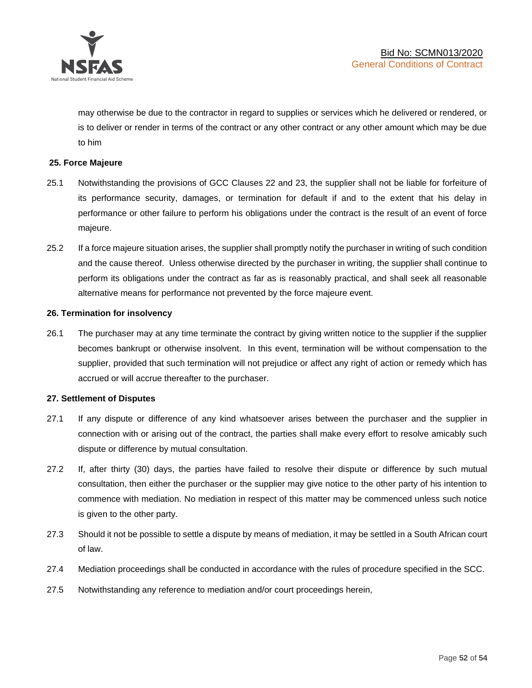

may otherwise be due to the contractor in regard to supplies or services which he delivered or rendered, or is to deliver or render in terms of the contract or any other contract or any other amount which may be due to him

### **25. Force Majeure**

- 25.1 Notwithstanding the provisions of GCC Clauses 22 and 23, the supplier shall not be liable for forfeiture of its performance security, damages, or termination for default if and to the extent that his delay in performance or other failure to perform his obligations under the contract is the result of an event of force majeure.
- 25.2 If a force majeure situation arises, the supplier shall promptly notify the purchaser in writing of such condition and the cause thereof. Unless otherwise directed by the purchaser in writing, the supplier shall continue to perform its obligations under the contract as far as is reasonably practical, and shall seek all reasonable alternative means for performance not prevented by the force majeure event.

#### **26. Termination for insolvency**

26.1 The purchaser may at any time terminate the contract by giving written notice to the supplier if the supplier becomes bankrupt or otherwise insolvent. In this event, termination will be without compensation to the supplier, provided that such termination will not prejudice or affect any right of action or remedy which has accrued or will accrue thereafter to the purchaser.

#### **27. Settlement of Disputes**

- 27.1 If any dispute or difference of any kind whatsoever arises between the purchaser and the supplier in connection with or arising out of the contract, the parties shall make every effort to resolve amicably such dispute or difference by mutual consultation.
- 27.2 If, after thirty (30) days, the parties have failed to resolve their dispute or difference by such mutual consultation, then either the purchaser or the supplier may give notice to the other party of his intention to commence with mediation. No mediation in respect of this matter may be commenced unless such notice is given to the other party.
- 27.3 Should it not be possible to settle a dispute by means of mediation, it may be settled in a South African court of law.
- 27.4 Mediation proceedings shall be conducted in accordance with the rules of procedure specified in the SCC.
- 27.5 Notwithstanding any reference to mediation and/or court proceedings herein,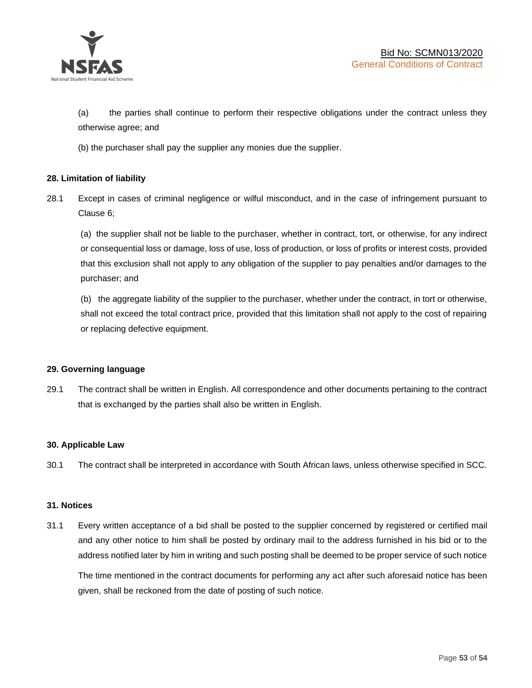

(a) the parties shall continue to perform their respective obligations under the contract unless they otherwise agree; and

(b) the purchaser shall pay the supplier any monies due the supplier.

# **28. Limitation of liability**

28.1 Except in cases of criminal negligence or wilful misconduct, and in the case of infringement pursuant to Clause 6;

(a) the supplier shall not be liable to the purchaser, whether in contract, tort, or otherwise, for any indirect or consequential loss or damage, loss of use, loss of production, or loss of profits or interest costs, provided that this exclusion shall not apply to any obligation of the supplier to pay penalties and/or damages to the purchaser; and

(b) the aggregate liability of the supplier to the purchaser, whether under the contract, in tort or otherwise, shall not exceed the total contract price, provided that this limitation shall not apply to the cost of repairing or replacing defective equipment.

#### **29. Governing language**

29.1 The contract shall be written in English. All correspondence and other documents pertaining to the contract that is exchanged by the parties shall also be written in English.

#### **30. Applicable Law**

30.1 The contract shall be interpreted in accordance with South African laws, unless otherwise specified in SCC.

#### **31. Notices**

31.1 Every written acceptance of a bid shall be posted to the supplier concerned by registered or certified mail and any other notice to him shall be posted by ordinary mail to the address furnished in his bid or to the address notified later by him in writing and such posting shall be deemed to be proper service of such notice

The time mentioned in the contract documents for performing any act after such aforesaid notice has been given, shall be reckoned from the date of posting of such notice.